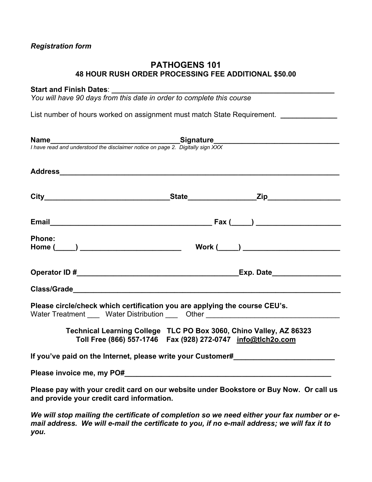# **PATHOGENS 101 48 HOUR RUSH ORDER PROCESSING FEE ADDITIONAL \$50.00**

#### **Start and Finish Dates**: **\_\_\_\_\_\_\_\_\_\_\_\_\_\_\_\_\_\_\_\_\_\_\_\_\_\_\_\_\_\_\_\_\_\_\_\_\_\_\_\_\_\_\_\_\_\_\_\_\_\_\_\_\_\_\_**

*You will have 90 days from this date in order to complete this course* 

List number of hours worked on assignment must match State Requirement.

| <b>Phone:</b>                             |                                                                                                                                                                |                                                                                        |
|-------------------------------------------|----------------------------------------------------------------------------------------------------------------------------------------------------------------|----------------------------------------------------------------------------------------|
|                                           |                                                                                                                                                                |                                                                                        |
|                                           |                                                                                                                                                                |                                                                                        |
|                                           | Please circle/check which certification you are applying the course CEU's.<br>Water Treatment _____ Water Distribution _____ Other ___________________________ |                                                                                        |
|                                           | Technical Learning College TLC PO Box 3060, Chino Valley, AZ 86323<br>Toll Free (866) 557-1746    Fax (928) 272-0747    info@tlch2o.com                        |                                                                                        |
|                                           |                                                                                                                                                                | If you've paid on the Internet, please write your Customer#                            |
|                                           |                                                                                                                                                                |                                                                                        |
| and provide your credit card information. |                                                                                                                                                                | Please pay with your credit card on our website under Bookstore or Buy Now. Or call us |

*We will stop mailing the certificate of completion so we need either your fax number or email address. We will e-mail the certificate to you, if no e-mail address; we will fax it to you.*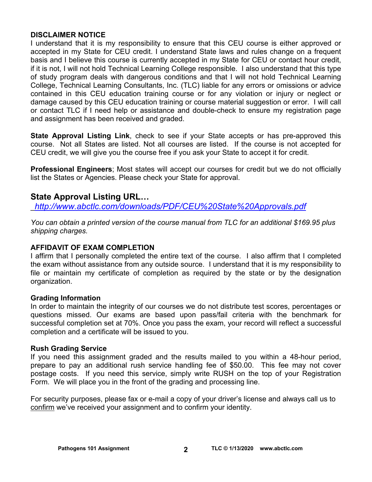#### **DISCLAIMER NOTICE**

I understand that it is my responsibility to ensure that this CEU course is either approved or accepted in my State for CEU credit. I understand State laws and rules change on a frequent basis and I believe this course is currently accepted in my State for CEU or contact hour credit, if it is not, I will not hold Technical Learning College responsible. I also understand that this type of study program deals with dangerous conditions and that I will not hold Technical Learning College, Technical Learning Consultants, Inc. (TLC) liable for any errors or omissions or advice contained in this CEU education training course or for any violation or injury or neglect or damage caused by this CEU education training or course material suggestion or error. I will call or contact TLC if I need help or assistance and double-check to ensure my registration page and assignment has been received and graded.

**State Approval Listing Link**, check to see if your State accepts or has pre-approved this course. Not all States are listed. Not all courses are listed. If the course is not accepted for CEU credit, we will give you the course free if you ask your State to accept it for credit.

**Professional Engineers**; Most states will accept our courses for credit but we do not officially list the States or Agencies. Please check your State for approval.

# **State Approval Listing URL…**

\_*<http://www.abctlc.com/downloads/PDF/CEU%20State%20Approvals.pdf>*

*You can obtain a printed version of the course manual from TLC for an additional \$169.95 plus shipping charges.* 

#### **AFFIDAVIT OF EXAM COMPLETION**

I affirm that I personally completed the entire text of the course. I also affirm that I completed the exam without assistance from any outside source. I understand that it is my responsibility to file or maintain my certificate of completion as required by the state or by the designation organization.

#### **Grading Information**

In order to maintain the integrity of our courses we do not distribute test scores, percentages or questions missed. Our exams are based upon pass/fail criteria with the benchmark for successful completion set at 70%. Once you pass the exam, your record will reflect a successful completion and a certificate will be issued to you.

#### **Rush Grading Service**

If you need this assignment graded and the results mailed to you within a 48-hour period, prepare to pay an additional rush service handling fee of \$50.00. This fee may not cover postage costs. If you need this service, simply write RUSH on the top of your Registration Form. We will place you in the front of the grading and processing line.

For security purposes, please fax or e-mail a copy of your driver's license and always call us to confirm we've received your assignment and to confirm your identity.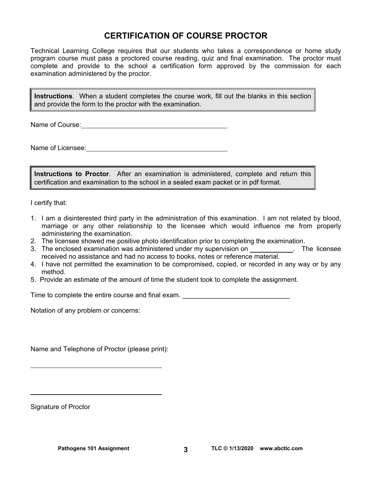# **CERTIFICATION OF COURSE PROCTOR**

Technical Learning College requires that our students who takes a correspondence or home study program course must pass a proctored course reading, quiz and final examination. The proctor must complete and provide to the school a certification form approved by the commission for each examination administered by the proctor.

**Instructions**. When a student completes the course work, fill out the blanks in this section and provide the form to the proctor with the examination.

Name of Course:  $\blacksquare$ 

Name of Licensee:

**Instructions to Proctor**. After an examination is administered, complete and return this certification and examination to the school in a sealed exam packet or in pdf format.

I certify that:

- 1. I am a disinterested third party in the administration of this examination. I am not related by blood, marriage or any other relationship to the licensee which would influence me from properly administering the examination.
- 2. The licensee showed me positive photo identification prior to completing the examination.
- 3. The enclosed examination was administered under my supervision on . The licensee received no assistance and had no access to books, notes or reference material.
- 4. I have not permitted the examination to be compromised, copied, or recorded in any way or by any method.
- 5. Provide an estimate of the amount of time the student took to complete the assignment.

Time to complete the entire course and final exam. \_\_\_\_\_\_\_\_\_\_\_\_\_\_\_\_\_\_\_\_\_\_\_\_\_\_\_\_\_

Notation of any problem or concerns:

Name and Telephone of Proctor (please print):

Signature of Proctor

 $\overline{a}$ 

 $\overline{a}$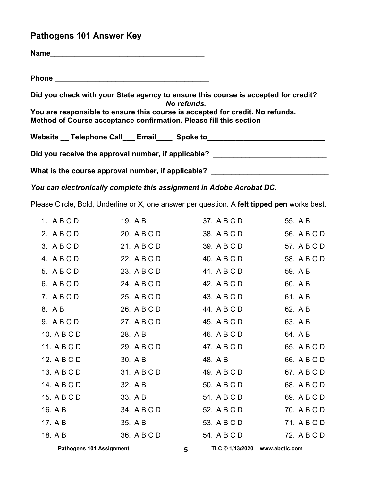# **Pathogens 101 Answer Key**

| Did you check with your State agency to ensure this course is accepted for credit?<br>No refunds.                                                   |
|-----------------------------------------------------------------------------------------------------------------------------------------------------|
| You are responsible to ensure this course is accepted for credit. No refunds.<br>Method of Course acceptance confirmation. Please fill this section |
| Website __ Telephone Call ___ Email ____ Spoke to ______________________________                                                                    |
| Did you receive the approval number, if applicable? ____________________________                                                                    |
| What is the course approval number, if applicable?                                                                                                  |

*You can electronically complete this assignment in Adobe Acrobat DC.* 

Please Circle, Bold, Underline or X, one answer per question. A **felt tipped pen** works best.

| 1. ABCD     | 19. A B     | 37. A B C D | 55. A B     |
|-------------|-------------|-------------|-------------|
| 2. ABCD     | 20. A B C D | 38. A B C D | 56. A B C D |
| 3. ABCD     | 21. A B C D | 39. A B C D | 57. A B C D |
| 4. ABCD     | 22. A B C D | 40. A B C D | 58. A B C D |
| 5. ABCD     | 23. A B C D | 41. A B C D | 59. A B     |
| 6. ABCD     | 24. A B C D | 42. A B C D | 60. A B     |
| 7. ABCD     | 25. A B C D | 43. A B C D | 61. A B     |
| 8. AB       | 26. A B C D | 44. A B C D | 62. A B     |
| 9. ABCD     | 27. A B C D | 45. A B C D | 63. A B     |
| 10. A B C D | 28. A B     | 46. A B C D | 64. A B     |
| 11. A B C D | 29. A B C D | 47. A B C D | 65. A B C D |
| 12. A B C D | 30. A B     | 48. A B     | 66. A B C D |
| 13. A B C D | 31. A B C D | 49. A B C D | 67. A B C D |
| 14. A B C D | 32. A B     | 50. A B C D | 68. A B C D |
| 15. A B C D | 33. A B     | 51. A B C D | 69. A B C D |
| 16. A B     | 34. A B C D | 52. A B C D | 70. A B C D |
| 17. A B     | 35. A B     | 53. A B C D | 71. A B C D |
| 18. A B     | 36. A B C D | 54. A B C D | 72. A B C D |
|             |             |             |             |

Pathogens 101 Assignment **TLC © 1/13/2020** www.abctlc.com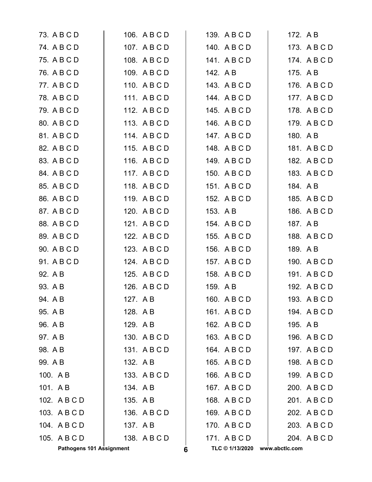| <b>Pathogens 101 Assignment</b> | 6            | TLC © 1/13/2020 | www.abctlc.com |
|---------------------------------|--------------|-----------------|----------------|
| 105. A B C D                    | 138. A B C D | 171. ABCD       | 204. A B C D   |
| 104. A B C D                    | 137. A B     | 170. A B C D    | 203. A B C D   |
| 103. A B C D                    | 136. A B C D | 169. A B C D    | 202. A B C D   |
| 102. A B C D                    | 135. A B     | 168. A B C D    | 201. ABCD      |
| 101. AB                         | 134. AB      | 167. A B C D    | 200. A B C D   |
| 100. AB                         | 133. ABCD    | 166. A B C D    | 199. A B C D   |
| 99. A B                         | 132. A B     | 165. A B C D    | 198. A B C D   |
| 98. A B                         | 131. ABCD    | 164. ABCD       | 197. A B C D   |
| 97. A B                         | 130. ABCD    | 163. A B C D    | 196. A B C D   |
| 96. A B                         | 129. A B     | 162. A B C D    | 195. A B       |
| 95. A B                         | 128. A B     | 161. ABCD       | 194. A B C D   |
| 94. A B                         | 127. A B     | 160. A B C D    | 193. A B C D   |
| 93. A B                         | 126. A B C D | 159. AB         | 192. A B C D   |
| 92. A B                         | 125. A B C D | 158. A B C D    | 191. A B C D   |
| 91. A B C D                     | 124. A B C D | 157. A B C D    | 190. A B C D   |
| 90. A B C D                     | 123. A B C D | 156. A B C D    | 189. AB        |
| 89. A B C D                     | 122. A B C D | 155. A B C D    | 188. A B C D   |
| 88. A B C D                     | 121. ABCD    | 154. A B C D    | 187. A B       |
| 87. A B C D                     | 120. A B C D | 153. A B        | 186. A B C D   |
| 86. A B C D                     | 119. ABCD    | 152. A B C D    | 185. A B C D   |
| 85. A B C D                     | 118. ABCD    | 151. ABCD       | 184. A B       |
| 84. A B C D                     | 117. ABCD    | 150. A B C D    | 183. A B C D   |
| 83. A B C D                     | 116. A B C D | 149. A B C D    | 182. A B C D   |
| 82. A B C D                     | 115. ABCD    | 148. A B C D    | 181. A B C D   |
| 81. A B C D                     | 114. ABCD    | 147. A B C D    | 180. A B       |
| 80. A B C D                     | 113. ABCD    | 146. A B C D    | 179. A B C D   |
| 79. A B C D                     | 112. A B C D | 145. A B C D    | 178. A B C D   |
| 78. A B C D                     | 111. ABCD    | 144. A B C D    | 177. A B C D   |
| 77. A B C D                     | 110. ABCD    | 143. A B C D    | 176. A B C D   |
| 76. A B C D                     | 109. A B C D | 142. A B        | 175. A B       |
| 75. A B C D                     | 108. A B C D | 141. ABCD       | 174. A B C D   |
| 74. A B C D                     | 107. A B C D | 140. ABCD       | 173. A B C D   |
| 73. A B C D                     | 106. A B C D | 139. A B C D    | 172. A B       |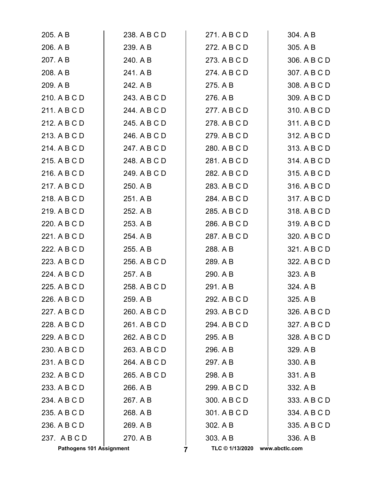| 237. A B C D | 270. A B     | 303. A B     | 336. A B     |
|--------------|--------------|--------------|--------------|
| 236. A B C D | 269. A B     | 302. A B     | 335. A B C D |
| 235. A B C D | 268. A B     | 301. A B C D | 334. A B C D |
| 234. A B C D | 267. A B     | 300. A B C D | 333. A B C D |
| 233. A B C D | 266. A B     | 299. A B C D | 332. A B     |
| 232. A B C D | 265. A B C D | 298. A B     | 331. A B     |
| 231. A B C D | 264. A B C D | 297. A B     | 330. A B     |
| 230. A B C D | 263. A B C D | 296. A B     | 329. A B     |
| 229. A B C D | 262. A B C D | 295. A B     | 328. A B C D |
| 228. A B C D | 261. A B C D | 294. A B C D | 327. A B C D |
| 227. A B C D | 260. A B C D | 293. A B C D | 326. A B C D |
| 226. A B C D | 259. A B     | 292. A B C D | 325. A B     |
| 225. A B C D | 258. A B C D | 291. A B     | 324. A B     |
| 224. A B C D | 257. A B     | 290. A B     | 323. A B     |
| 223. A B C D | 256. A B C D | 289. A B     | 322. A B C D |
| 222. A B C D | 255. A B     | 288. A B     | 321. A B C D |
| 221. A B C D | 254. A B     | 287. A B C D | 320. A B C D |
| 220. A B C D | 253. A B     | 286. A B C D | 319. A B C D |
| 219. A B C D | 252. A B     | 285. A B C D | 318. A B C D |
| 218. A B C D | 251. A B     | 284. A B C D | 317. A B C D |
| 217. A B C D | 250. A B     | 283. A B C D | 316. A B C D |
| 216. A B C D | 249. A B C D | 282. A B C D | 315. A B C D |
| 215. A B C D | 248. A B C D | 281. A B C D | 314. A B C D |
| 214. A B C D | 247. A B C D | 280. A B C D | 313. A B C D |
| 213. A B C D | 246. A B C D | 279. A B C D | 312. A B C D |
| 212. A B C D | 245. A B C D | 278. A B C D | 311. A B C D |
| 211. A B C D | 244. A B C D | 277. A B C D | 310. A B C D |
| 210. A B C D | 243. A B C D | 276. A B     | 309. A B C D |
| 209. A B     | 242. A B     | 275. A B     | 308. A B C D |
| 208. A B     | 241. A B     | 274. A B C D | 307. A B C D |
| 207. A B     | 240. A B     | 273. A B C D | 306. A B C D |
| 206. A B     | 239. A B     | 272. A B C D | 305. A B     |
| 205. A B     | 238. A B C D | 271. A B C D | 304. A B     |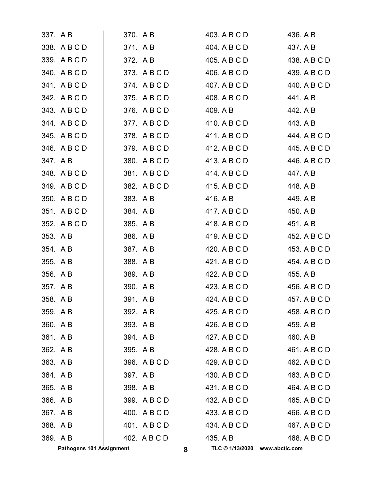| 337. A B |                                 |          | 370. AB      | 403. A B C D    |                | 436. A B     |
|----------|---------------------------------|----------|--------------|-----------------|----------------|--------------|
|          | 338. A B C D                    | 371. AB  |              | 404. A B C D    |                | 437. A B     |
|          | 339. ABCD                       | 372. A B |              | 405. A B C D    |                | 438. A B C D |
|          | 340. ABCD                       |          | 373. A B C D | 406. A B C D    |                | 439. A B C D |
|          | 341. ABCD                       |          | 374. ABCD    | 407. A B C D    |                | 440. A B C D |
|          | 342. A B C D                    |          | 375. A B C D | 408. A B C D    |                | 441. A B     |
|          | 343. A B C D                    |          | 376. A B C D | 409. A B        |                | 442. A B     |
|          | 344. ABCD                       |          | 377. ABCD    | 410. A B C D    |                | 443. A B     |
|          | 345. A B C D                    |          | 378. A B C D | 411. A B C D    |                | 444. A B C D |
|          | 346. A B C D                    |          | 379. ABCD    | 412. A B C D    |                | 445. A B C D |
| 347. A B |                                 |          | 380. A B C D | 413. A B C D    |                | 446. A B C D |
|          | 348. A B C D                    |          | 381. A B C D | 414. A B C D    |                | 447. A B     |
|          | 349. ABCD                       |          | 382. A B C D | 415. A B C D    |                | 448. A B     |
|          | 350. A B C D                    | 383. A B |              | 416. A B        |                | 449. A B     |
|          | 351. ABCD                       |          | 384. A B     | 417. A B C D    |                | 450. A B     |
|          | 352. A B C D                    | 385. A B |              | 418. A B C D    |                | 451. A B     |
| 353. A B |                                 | 386. A B |              | 419. A B C D    |                | 452. A B C D |
| 354. AB  |                                 | 387. AB  |              | 420. A B C D    |                | 453. A B C D |
| 355. A B |                                 |          | 388. A B     | 421. A B C D    |                | 454. A B C D |
| 356. A B |                                 |          | 389. A B     | 422. A B C D    |                | 455. A B     |
| 357. A B |                                 | 390. A B |              | 423. A B C D    |                | 456. A B C D |
| 358. AB  |                                 | 391. AB  |              | 424. A B C D    |                | 457. A B C D |
| 359. A B |                                 |          | 392. A B     | 425. A B C D    |                | 458. A B C D |
| 360. AB  |                                 |          | 393. AB      | 426. A B C D    |                | 459. A B     |
| 361. AB  |                                 |          | 394. AB      | 427. A B C D    |                | 460. A B     |
| 362. AB  |                                 |          | 395. A B     | 428. A B C D    |                | 461. A B C D |
| 363. AB  |                                 |          | 396. A B C D | 429. A B C D    |                | 462. A B C D |
| 364. AB  |                                 |          | 397. AB      | 430. A B C D    |                | 463. A B C D |
| 365. A B |                                 |          | 398. AB      | 431. A B C D    |                | 464. A B C D |
| 366. AB  |                                 |          | 399. ABCD    | 432. A B C D    |                | 465. A B C D |
| 367. AB  |                                 |          | 400. A B C D | 433. A B C D    |                | 466. A B C D |
| 368. AB  |                                 |          | 401. ABCD    | 434. A B C D    |                | 467. A B C D |
| 369. AB  |                                 |          | 402. A B C D | 435. A B        |                | 468. A B C D |
|          | <b>Pathogens 101 Assignment</b> |          | 8            | TLC © 1/13/2020 | www.abctlc.com |              |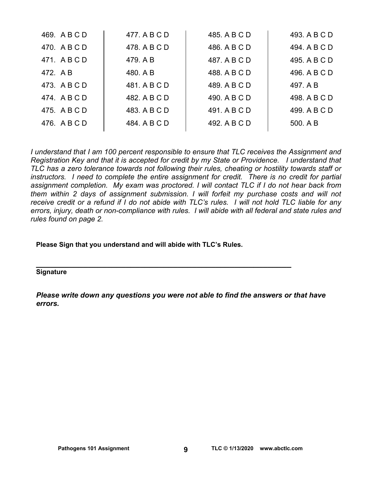| 469. A B C D | 477. A B C D | 485. A B C D | 493. A B C D |
|--------------|--------------|--------------|--------------|
| 470. A B C D | 478. A B C D | 486, A B C D | 494, A B C D |
| 471. ABCD    | 479. A B     | 487, A B C D | 495, A B C D |
| 472. A B     | 480. A B     | 488. A B C D | 496, A B C D |
| 473. A B C D | 481, A B C D | 489, A B C D | 497. A B     |
| 474. ABCD    | 482, A B C D | 490, A B C D | 498, A B C D |
| 475. A B C D | 483, A B C D | 491. A B C D | 499, A B C D |
| 476. A B C D | 484, A B C D | 492. A B C D | 500. A B     |
|              |              |              |              |

*I understand that I am 100 percent responsible to ensure that TLC receives the Assignment and Registration Key and that it is accepted for credit by my State or Providence. I understand that TLC has a zero tolerance towards not following their rules, cheating or hostility towards staff or instructors. I need to complete the entire assignment for credit. There is no credit for partial assignment completion. My exam was proctored. I will contact TLC if I do not hear back from them within 2 days of assignment submission. I will forfeit my purchase costs and will not receive credit or a refund if I do not abide with TLC's rules. I will not hold TLC liable for any errors, injury, death or non-compliance with rules. I will abide with all federal and state rules and rules found on page 2.* 

**Please Sign that you understand and will abide with TLC's Rules.** 

# **\_\_\_\_\_\_\_\_\_\_\_\_\_\_\_\_\_\_\_\_\_\_\_\_\_\_\_\_\_\_\_\_\_\_\_\_\_\_\_\_\_\_\_\_\_\_\_\_\_\_\_\_\_\_ Signature**

*Please write down any questions you were not able to find the answers or that have errors.*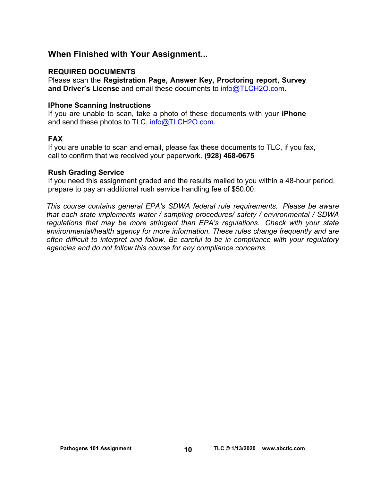# **When Finished with Your Assignment...**

#### **REQUIRED DOCUMENTS**

Please scan the **Registration Page, Answer Key, Proctoring report, Survey and Driver's License** and email these documents to [info@TLCH2O.com.](mailto:info@TLCH2O.com) 

#### **IPhone Scanning Instructions**

If you are unable to scan, take a photo of these documents with your **iPhone** and send these photos to TLC, info@TLCH2O.com.

## **FAX**

If you are unable to scan and email, please fax these documents to TLC, if you fax, call to confirm that we received your paperwork. **(928) 468-0675** 

#### **Rush Grading Service**

If you need this assignment graded and the results mailed to you within a 48-hour period, prepare to pay an additional rush service handling fee of \$50.00.

*This course contains general EPA's SDWA federal rule requirements. Please be aware that each state implements water / sampling procedures/ safety / environmental / SDWA regulations that may be more stringent than EPA's regulations. Check with your state environmental/health agency for more information. These rules change frequently and are often difficult to interpret and follow. Be careful to be in compliance with your regulatory agencies and do not follow this course for any compliance concerns.*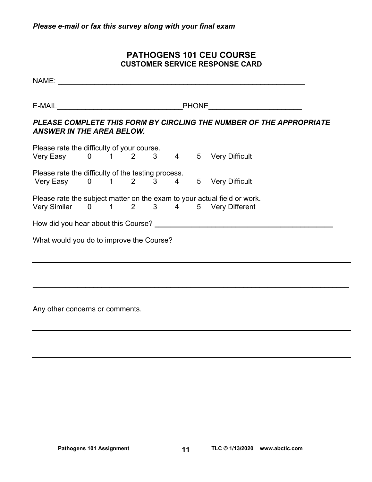# **PATHOGENS 101 CEU COURSE CUSTOMER SERVICE RESPONSE CARD**

| ANSWER IN THE AREA BELOW.                                                                         |  |  |  | PLEASE COMPLETE THIS FORM BY CIRCLING THE NUMBER OF THE APPROPRIATE      |
|---------------------------------------------------------------------------------------------------|--|--|--|--------------------------------------------------------------------------|
|                                                                                                   |  |  |  |                                                                          |
| Please rate the difficulty of your course.<br>Very Easy    0   1   2   3   4   5  Very Difficult  |  |  |  |                                                                          |
| Please rate the difficulty of the testing process.<br>Very Easy   0  1  2  3  4  5 Very Difficult |  |  |  |                                                                          |
|                                                                                                   |  |  |  |                                                                          |
|                                                                                                   |  |  |  | Please rate the subject matter on the exam to your actual field or work. |
|                                                                                                   |  |  |  | Very Similar 0 1 2 3 4 5 Very Different                                  |
|                                                                                                   |  |  |  |                                                                          |
| What would you do to improve the Course?                                                          |  |  |  |                                                                          |
|                                                                                                   |  |  |  |                                                                          |

 $\mathcal{L}_\mathcal{L} = \mathcal{L}_\mathcal{L} = \mathcal{L}_\mathcal{L} = \mathcal{L}_\mathcal{L} = \mathcal{L}_\mathcal{L} = \mathcal{L}_\mathcal{L} = \mathcal{L}_\mathcal{L} = \mathcal{L}_\mathcal{L} = \mathcal{L}_\mathcal{L} = \mathcal{L}_\mathcal{L} = \mathcal{L}_\mathcal{L} = \mathcal{L}_\mathcal{L} = \mathcal{L}_\mathcal{L} = \mathcal{L}_\mathcal{L} = \mathcal{L}_\mathcal{L} = \mathcal{L}_\mathcal{L} = \mathcal{L}_\mathcal{L}$ 

Any other concerns or comments.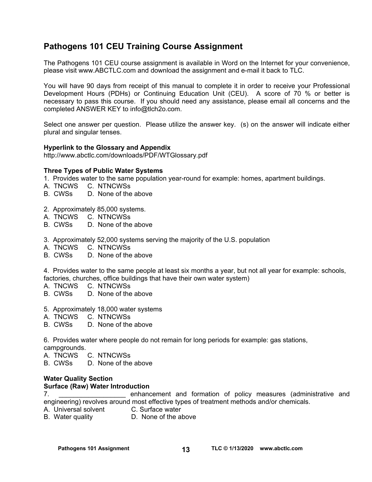# **Pathogens 101 CEU Training Course Assignment**

The Pathogens 101 CEU course assignment is available in Word on the Internet for your convenience, please visit [www.ABCTLC.com an](http://www.ABCTLC.com)d download the assignment and e-mail it back to TLC.

You will have 90 days from receipt of this manual to complete it in order to receive your Professional Development Hours (PDHs) or Continuing Education Unit (CEU). A score of 70 % or better is necessary to pass this course. If you should need any assistance, please email all concerns and the completed ANSWER KEY to [info@tlch2o.com.](mailto:info@tlch2o.com) 

Select one answer per question. Please utilize the answer key. (s) on the answer will indicate either plural and singular tenses.

#### **Hyperlink to the Glossary and Appendix**

<http://www.abctlc.com/downloads/PDF/WTGlossary.pdf>

#### **Three Types of Public Water Systems**

- 1. Provides water to the same population year-round for example: homes, apartment buildings.
- A. TNCWS C. NTNCWSs
- B. CWSs D. None of the above
- 2. Approximately 85,000 systems.
- A. TNCWS C. NTNCWSs
- D. None of the above
- 3.Approximately 52,000 systems serving the majority of the U.S. population
- A. TNCWS C. NTNCWSs
- B. CWSs D. None of the above

4.Provides water to the same people at least six months a year, but not all year for example: schools, factories, churches, office buildings that have their own water system)

- A. TNCWS C. NTNCWSs
- B. CWSs D. None of the above
- 5. Approximately 18,000 water systems
- A. TNCWS C. NTNCWSs
- B. CWSs D. None of the above

6. Provides water where people do not remain for long periods for example: gas stations, campgrounds.

- A. TNCWS C. NTNCWSs
- B. CWSs D. None of the above

#### **Water Quality Section Surface (Raw) Water Introduction**

7. \_\_\_\_\_\_\_\_\_\_\_\_\_\_\_\_\_\_ enhancement and formation of policy measures (administrative and engineering) revolves around most effective types of treatment methods and/or chemicals.

A. Universal solvent C. Surface water

B. Water quality D. None of the above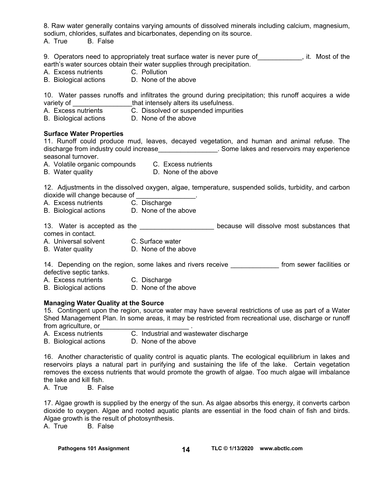8. Raw water generally contains varying amounts of dissolved minerals including calcium, magnesium, sodium, chlorides, sulfates and bicarbonates, depending on its source.

A. True B. False

9. Operators need to appropriately treat surface water is never pure of The states it. Most of the earth's water sources obtain their water supplies through precipitation.

- A. Excess nutrients C. Pollution
- B. Biological actions D. None of the above

10. Water passes runoffs and infiltrates the ground during precipitation; this runoff acquires a wide variety of \_\_\_\_\_\_\_\_\_\_\_\_\_\_\_\_that intensely alters its usefulness.

- C. Dissolved or suspended impurities
- B. Biological actions D. None of the above

#### **Surface Water Properties**

11. Runoff could produce mud, leaves, decayed vegetation, and human and animal refuse. The discharge from industry could increase\_\_\_\_\_\_\_\_\_\_\_\_\_\_\_\_\_. Some lakes and reservoirs may experience seasonal turnover.

A. Volatile organic compounds C. Excess nutrients

B. Water quality **D.** None of the above

12. Adjustments in the dissolved oxygen, algae, temperature, suspended solids, turbidity, and carbon dioxide will change because of \_\_\_\_\_\_\_\_\_\_\_\_\_\_\_\_.

- A. Excess nutrients C. Discharge
- B. Biological actions D. None of the above

13. Water is accepted as the \_\_\_\_\_\_\_\_\_\_\_\_\_\_\_\_\_\_\_\_\_\_\_\_\_ because will dissolve most substances that comes in contact.

A. Universal solvent C. Surface water

B. Water quality **D.** None of the above

14. Depending on the region, some lakes and rivers receive **the act and reading** from sewer facilities or defective septic tanks.

- A. Excess nutrients C. Discharge
- B. Biological actions D. None of the above

#### **Managing Water Quality at the Source**

15. Contingent upon the region, source water may have several restrictions of use as part of a Water Shed Management Plan. In some areas, it may be restricted from recreational use, discharge or runoff from agriculture, or **example 20** 

- A. Excess nutrients C. Industrial and wastewater discharge
- B. Biological actions D. None of the above

16. Another characteristic of quality control is aquatic plants. The ecological equilibrium in lakes and reservoirs plays a natural part in purifying and sustaining the life of the lake. Certain vegetation removes the excess nutrients that would promote the growth of algae. Too much algae will imbalance the lake and kill fish.

A. True B. False

17. Algae growth is supplied by the energy of the sun. As algae absorbs this energy, it converts carbon dioxide to oxygen. Algae and rooted aquatic plants are essential in the food chain of fish and birds. Algae growth is the result of photosynthesis.

A. True B. False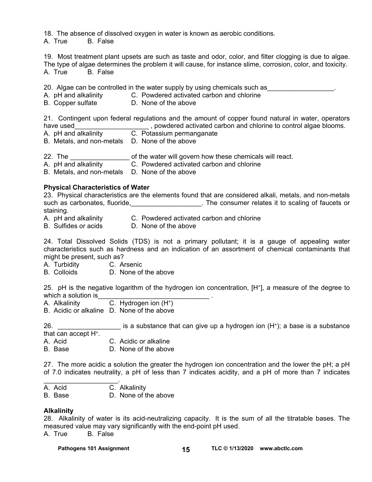18. The absence of dissolved oxygen in water is known as aerobic conditions.

A. True B. False

19. Most treatment plant upsets are such as taste and odor, color, and filter clogging is due to algae. The type of algae determines the problem it will cause, for instance slime, corrosion, color, and toxicity. A. True B. False

20. Algae can be controlled in the water supply by using chemicals such as

- A. pH and alkalinity C. Powdered activated carbon and chlorine
- B. Copper sulfate D. None of the above

21. Contingent upon federal regulations and the amount of copper found natural in water, operators have used **the used** summary resolution of the setter of a control algae blooms.

- A. pH and alkalinity C. Potassium permanganate
- B. Metals, and non-metals D. None of the above

22. The \_\_\_\_\_\_\_\_\_\_\_\_\_\_\_\_ of the water will govern how these chemicals will react.

- C. Powdered activated carbon and chlorine
- B. Metals, and non-metals D. None of the above

#### **Physical Characteristics of Water**

23. Physical characteristics are the elements found that are considered alkali, metals, and non-metals such as carbonates, fluoride, \_\_\_\_\_\_\_\_\_\_\_\_\_\_\_\_\_\_\_. The consumer relates it to scaling of faucets or staining.<br>A. pH and alkalinity

- A. pH and alkalinity C. Powdered activated carbon and chlorine<br>B. Sulfides or acids C. None of the above
- D. None of the above

24. Total Dissolved Solids (TDS) is not a primary pollutant; it is a gauge of appealing water characteristics such as hardness and an indication of an assortment of chemical contaminants that might be present, such as?

- A. Turbidity C. Arsenic
- B. Colloids D. None of the above

25. pH is the negative logarithm of the hydrogen ion concentration, [H+], a measure of the degree to which a solution is

- A. Alkalinity C. Hydrogen ion (H+)
- B. Acidic or alkaline D. None of the above

26.  $\blacksquare$  is a substance that can give up a hydrogen ion  $(H^+)$ ; a base is a substance

that can accept H+.

- A. Acid C. Acidic or alkaline
- B. Base D. None of the above

27. The more acidic a solution the greater the hydrogen ion concentration and the lower the pH; a pH of 7.0 indicates neutrality, a pH of less than 7 indicates acidity, and a pH of more than 7 indicates

A. Acid C. Alkalinity

 $\mathcal{L}_\text{max}$  and  $\mathcal{L}_\text{max}$  and  $\mathcal{L}_\text{max}$ 

B. Base D. None of the above

#### **Alkalinity**

28. Alkalinity of water is its acid-neutralizing capacity. It is the sum of all the titratable bases. The measured value may vary significantly with the end-point pH used. A. True B. False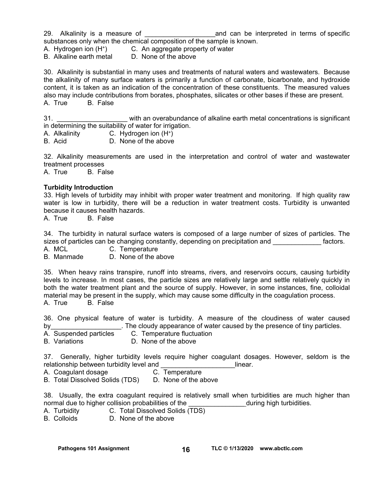29. Alkalinity is a measure of **Exercise 20** and can be interpreted in terms of specific substances only when the chemical composition of the sample is known.

A. Hydrogen ion (H<sup>+</sup>) C. An aggregate property of water

B. Alkaline earth metal D. None of the above

30. Alkalinity is substantial in many uses and treatments of natural waters and wastewaters. Because the alkalinity of many surface waters is primarily a function of carbonate, bicarbonate, and hydroxide content, it is taken as an indication of the concentration of these constituents. The measured values also may include contributions from borates, phosphates, silicates or other bases if these are present. A. True B. False

31. \_\_\_\_\_\_\_\_\_\_\_\_\_\_\_\_\_\_\_ with an overabundance of alkaline earth metal concentrations is significant in determining the suitability of water for irrigation.

A. Alkalinity **C.** Hydrogen ion  $(H^+)$ 

B. Acid D. None of the above

32. Alkalinity measurements are used in the interpretation and control of water and wastewater treatment processes

A. True B. False

#### **Turbidity Introduction**

33. High levels of turbidity may inhibit with proper water treatment and monitoring. If high quality raw water is low in turbidity, there will be a reduction in water treatment costs. Turbidity is unwanted because it causes health hazards.

A. True B. False

34. The turbidity in natural surface waters is composed of a large number of sizes of particles. The sizes of particles can be changing constantly, depending on precipitation and  $\qquad \qquad$  factors.

A. MCL C. Temperature

B. Manmade D. None of the above

35. When heavy rains transpire, runoff into streams, rivers, and reservoirs occurs, causing turbidity levels to increase. In most cases, the particle sizes are relatively large and settle relatively quickly in both the water treatment plant and the source of supply. However, in some instances, fine, colloidal material may be present in the supply, which may cause some difficulty in the coagulation process. A. True B. False

36. One physical feature of water is turbidity. A measure of the cloudiness of water caused by \_\_\_\_\_\_\_\_\_\_\_\_\_\_\_\_\_\_\_\_. The cloudy appearance of water caused by the presence of tiny particles.<br>A. Suspended particles C. Temperature fluctuation

- C. Temperature fluctuation
- B. Variations D. None of the above

37. Generally, higher turbidity levels require higher coagulant dosages. However, seldom is the relationship between turbidity level and **Example 2018** 11 linear.

- A. Coagulant dosage C. Temperature
- B. Total Dissolved Solids (TDS) D. None of the above

38. Usually, the extra coagulant required is relatively small when turbidities are much higher than normal due to higher collision probabilities of the during high turbidities.

- A. Turbidity C. Total Dissolved Solids (TDS)
- B. Colloids D. None of the above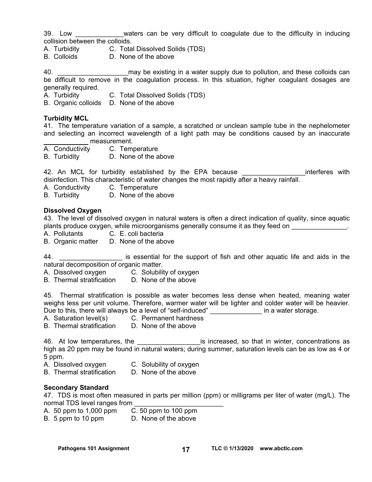39. Low \_\_\_\_\_\_\_\_\_\_\_\_\_waters can be very difficult to coagulate due to the difficulty in inducing collision between the colloids.

- A. Turbidity C. Total Dissolved Solids (TDS)
- B. Colloids D. None of the above

40. \_\_\_\_\_\_\_\_\_\_\_\_\_\_\_\_\_\_\_may be existing in a water supply due to pollution, and these colloids can be difficult to remove in the coagulation process. In this situation, higher coagulant dosages are generally required.

A. Turbidity C. Total Dissolved Solids (TDS)

B. Organic colloids D. None of the above

#### **Turbidity MCL**

41. The temperature variation of a sample, a scratched or unclean sample tube in the nephelometer and selecting an incorrect wavelength of a light path may be conditions caused by an inaccurate \_\_\_\_\_\_\_\_\_\_\_\_ measurement.

- A. Conductivity C. Temperature
- B. Turbidity D. None of the above

42. An MCL for turbidity established by the EPA because **EXAL EXACL EXACL** interferes with disinfection. This characteristic of water changes the most rapidly after a heavy rainfall.

A. Conductivity C. Temperature

B. Turbidity D. None of the above

#### **Dissolved Oxygen**

43. The level of dissolved oxygen in natural waters is often a direct indication of quality, since aquatic plants produce oxygen, while microorganisms generally consume it as they feed on  $\blacksquare$ 

- A. Pollutants C. E. coli bacteria
- B. Organic matter D. None of the above

44. \_\_\_\_\_\_\_\_\_\_\_\_\_\_\_\_\_ is essential for the support of fish and other aquatic life and aids in the natural decomposition of organic matter.

- A. Dissolved oxygen C. Solubility of oxygen
- B. Thermal stratification D. None of the above

45. Thermal stratification is possible as water becomes less dense when heated, meaning water weighs less per unit volume. Therefore, warmer water will be lighter and colder water will be heavier.

- Due to this, there will always be a level of "self-induced" \_\_\_\_\_\_\_\_\_\_\_\_\_\_\_\_\_ in a water storage.
- A. Saturation level(s) C. Permanent hardness

B. Thermal stratification D. None of the above

46. At low temperatures, the **Example 20** is increased, so that in winter, concentrations as high as 20 ppm may be found in natural waters; during summer, saturation levels can be as low as 4 or 5 ppm.

- A. Dissolved oxygen C. Solubility of oxygen
- B. Thermal stratification D. None of the above

#### **Secondary Standard**

47. TDS is most often measured in parts per million (ppm) or milligrams per liter of water (mg/L). The normal TDS level ranges from

- A. 50 ppm to 1,000 ppm C. 50 ppm to 100 ppm
- B. 5 ppm to 10 ppm D. None of the above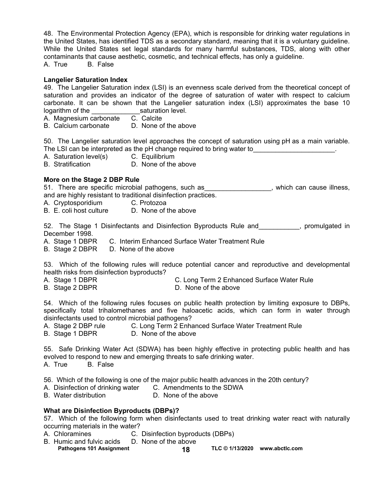48. The Environmental Protection Agency (EPA), which is responsible for drinking water regulations in the United States, has identified TDS as a secondary standard, meaning that it is a voluntary guideline. While the United States set legal standards for many harmful substances, TDS, along with other contaminants that cause aesthetic, cosmetic, and technical effects, has only a guideline.

A. True B. False

#### **Langelier Saturation Index**

49. The Langelier Saturation index (LSI) is an evenness scale derived from the theoretical concept of saturation and provides an indicator of the degree of saturation of water with respect to calcium carbonate. It can be shown that the Langelier saturation index (LSI) approximates the base 10 logarithm of the saturation level.

A. Magnesium carbonate C. Calcite

B. Calcium carbonate D. None of the above

50. The Langelier saturation level approaches the concept of saturation using pH as a main variable. The LSI can be interpreted as the pH change required to bring water to **with the same of the set of the set of** 

A. Saturation level(s) C. Equilibrium<br>B. Stratification D. None of the

D. None of the above

#### **More on the Stage 2 DBP Rule**

51. There are specific microbial pathogens, such as \_\_\_\_\_\_\_\_\_\_\_\_\_\_\_\_\_, which can cause illness, and are highly resistant to traditional disinfection practices.

- A. Cryptosporidium C. Protozoa
- B. E. coli host culture D. None of the above

52. The Stage 1 Disinfectants and Disinfection Byproducts Rule and The Stage 1 Disinfectants and Disinfection Byproducts Rule and December 1998.

- A. Stage 1 DBPR C. Interim Enhanced Surface Water Treatment Rule
- B. Stage 2 DBPR D. None of the above

53. Which of the following rules will reduce potential cancer and reproductive and developmental health risks from disinfection byproducts?

- A. Stage 1 DBPR C. Long Term 2 Enhanced Surface Water Rule
- B. Stage 2 DBPR D. None of the above

54. Which of the following rules focuses on public health protection by limiting exposure to DBPs, specifically total trihalomethanes and five haloacetic acids, which can form in water through disinfectants used to control microbial pathogens?

- A. Stage 2 DBP rule C. Long Term 2 Enhanced Surface Water Treatment Rule
- B. Stage 1 DBPR D. None of the above

55. Safe Drinking Water Act (SDWA) has been highly effective in protecting public health and has evolved to respond to new and emerging threats to safe drinking water.

A. True B. False

56. Which of the following is one of the major public health advances in the 20th century?

- A. Disinfection of drinking water C. Amendments to the SDWA<br>B. Water distribution D. None of the above
- D. None of the above

#### **What are Disinfection Byproducts (DBPs)?**

57. Which of the following form when disinfectants used to treat drinking water react with naturally occurring materials in the water?

- A. Chloramines C. Disinfection byproducts (DBPs)
- Pathogens 101 Assignment **18** 18 TLC © 1/13/2020 www.abctlc.com B. Humic and fulvic acids D. None of the above
	-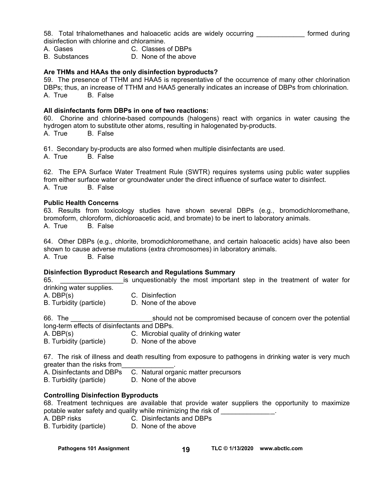58. Total trihalomethanes and haloacetic acids are widely occurring \_\_\_\_\_\_\_\_\_\_\_\_\_ formed during disinfection with chlorine and chloramine.

- 
- A. Gases C. Classes of DBPs
- B. Substances D. None of the above

#### **Are THMs and HAAs the only disinfection byproducts?**

59. The presence of TTHM and HAA5 is representative of the occurrence of many other chlorination DBPs; thus, an increase of TTHM and HAA5 generally indicates an increase of DBPs from chlorination. A. True B. False

#### **All disinfectants form DBPs in one of two reactions:**

60. Chorine and chlorine-based compounds (halogens) react with organics in water causing the hydrogen atom to substitute other atoms, resulting in halogenated by-products.

A. True B. False

61. Secondary by-products are also formed when multiple disinfectants are used.

A. True B. False

62. The EPA Surface Water Treatment Rule (SWTR) requires systems using public water supplies from either surface water or groundwater under the direct influence of surface water to disinfect. A. True B. False

#### **Public Health Concerns**

63. Results from toxicology studies have shown several DBPs (e.g., bromodichloromethane, bromoform, chloroform, dichloroacetic acid, and bromate) to be inert to laboratory animals. A. True B. False

64. Other DBPs (e.g., chlorite, bromodichloromethane, and certain haloacetic acids) have also been shown to cause adverse mutations (extra chromosomes) in laboratory animals. A. True B. False

#### **Disinfection Byproduct Research and Regulations Summary**

65. \_\_\_\_\_\_\_\_\_\_\_\_\_\_\_\_\_is unquestionably the most important step in the treatment of water for drinking water supplies.

A. DBP(s) C. Disinfection

B. Turbidity (particle) D. None of the above

66. The **Example 20** should not be compromised because of concern over the potential long-term effects of disinfectants and DBPs.

- A. DBP(s) C. Microbial quality of drinking water<br>B. Turbidity (particle) D. None of the above
- B. Turbidity (particle)

67. The risk of illness and death resulting from exposure to pathogens in drinking water is very much greater than the risks from

- A. Disinfectants and DBPs C. Natural organic matter precursors
- B. Turbidity (particle) D. None of the above

#### **Controlling Disinfection Byproducts**

68. Treatment techniques are available that provide water suppliers the opportunity to maximize potable water safety and quality while minimizing the risk of

A. DBP risks C. Disinfectants and DBPs

B. Turbidity (particle) D. None of the above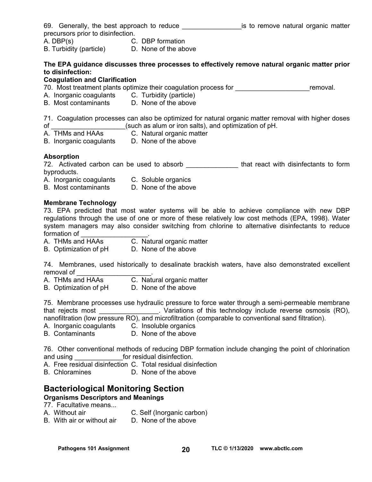| 69. Generally, the best approach to reduce |                  |  | is to remove natural organic matter |  |
|--------------------------------------------|------------------|--|-------------------------------------|--|
| precursors prior to disinfection.          |                  |  |                                     |  |
| A. DBP(s)                                  | C. DBP formation |  |                                     |  |

B. Turbidity (particle) D. None of the above

#### **The EPA guidance discusses three processes to effectively remove natural organic matter prior to disinfection:**

#### **Coagulation and Clarification**

70. Most treatment plants optimize their coagulation process for The Most Tremoval.

- A. Inorganic coagulants C. Turbidity (particle)
- B. Most contaminants D. None of the above

71. Coagulation processes can also be optimized for natural organic matter removal with higher doses of \_\_\_\_\_\_\_\_\_\_\_\_\_\_\_\_\_\_\_\_(such as alum or iron salts), and optimization of pH.

- A. THMs and HAAs C. Natural organic matter
- B. Inorganic coagulants D. None of the above

#### **Absorption**

72. Activated carbon can be used to absorb **that react with disinfectants to form** byproducts.

- A. Inorganic coagulants C. Soluble organics
- B. Most contaminants D. None of the above

#### **Membrane Technology**

73. EPA predicted that most water systems will be able to achieve compliance with new DBP regulations through the use of one or more of these relatively low cost methods (EPA, 1998). Water system managers may also consider switching from chlorine to alternative disinfectants to reduce formation of \_\_\_\_\_\_\_\_\_\_\_\_\_\_\_\_\_\_.

- A. THMs and HAAs C. Natural organic matter
- B. Optimization of pH D. None of the above

74. Membranes, used historically to desalinate brackish waters, have also demonstrated excellent removal of \_\_\_\_\_\_\_\_\_\_\_\_\_\_\_\_\_\_<br>A. THMs and HAAs

- C. Natural organic matter
- B. Optimization of pH D. None of the above

75. Membrane processes use hydraulic pressure to force water through a semi-permeable membrane that rejects most \_\_\_\_\_\_\_\_\_\_\_\_\_\_\_\_. Variations of this technology include reverse osmosis (RO), nanofiltration (low pressure RO), and microfiltration (comparable to conventional sand filtration).

- A. Inorganic coagulants C. Insoluble organics
- B. Contaminants D. None of the above

76. Other conventional methods of reducing DBP formation include changing the point of chlorination and using \_\_\_\_\_\_\_\_\_\_\_\_\_for residual disinfection.

- A. Free residual disinfection C. Total residual disinfection
- B. Chloramines D. None of the above

# **Bacteriological Monitoring Section**

# **Organisms Descriptors and Meanings**

- 77. Facultative means...
- A. Without air C. Self (Inorganic carbon)
- B. With air or without air D. None of the above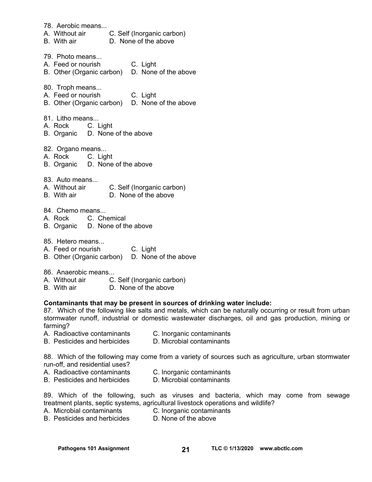78. Aerobic means... A. Without air C. Self (Inorganic carbon) B. With air D. None of the above 79. Photo means... A. Feed or nourish C. Light B. Other (Organic carbon) D. None of the above 80. Troph means... A. Feed or nourish C. Light B. Other (Organic carbon) D. None of the above 81. Litho means... A. Rock C. Light B. Organic D. None of the above 82. Organo means... A. Rock C. Light B. Organic D. None of the above 83. Auto means... A. Without air C. Self (Inorganic carbon) B. With air D. None of the above 84. Chemo means...<br>A. Rock C. Ch C. Chemical B. Organic D. None of the above 85. Hetero means... A. Feed or nourish C. Light B. Other (Organic carbon) D. None of the above 86. Anaerobic means A. Without air C. Self (Inorganic carbon) B. With air D. None of the above **Contaminants that may be present in sources of drinking water include:**  87. Which of the following like salts and metals, which can be naturally occurring or result from urban stormwater runoff, industrial or domestic wastewater discharges, oil and gas production, mining or farming? A. Radioactive contaminants C. Inorganic contaminants<br>
B. Pesticides and herbicides D. Microbial contaminants B. Pesticides and herbicides 88. Which of the following may come from a variety of sources such as agriculture, urban stormwater run-off, and residential uses? A. Radioactive contaminants C. Inorganic contaminants B. Pesticides and herbicides D. Microbial contaminants

89. Which of the following, such as viruses and bacteria, which may come from sewage treatment plants, septic systems, agricultural livestock operations and wildlife?

- A. Microbial contaminants C. Inorganic contaminants
- B. Pesticides and herbicides D. None of the above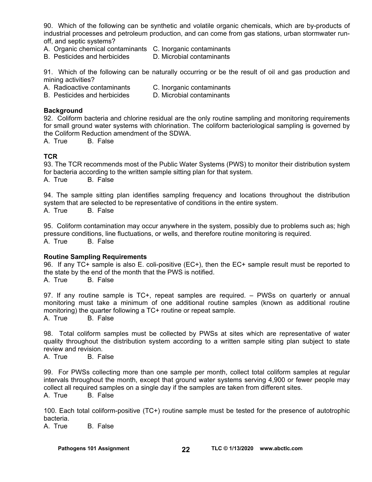90. Which of the following can be synthetic and volatile organic chemicals, which are by-products of industrial processes and petroleum production, and can come from gas stations, urban stormwater runoff, and septic systems?

- A. Organic chemical contaminants C. Inorganic contaminants
- B. Pesticides and herbicides D. Microbial contaminants

91. Which of the following can be naturally occurring or be the result of oil and gas production and mining activities?

- A. Radioactive contaminants C. Inorganic contaminants
- B. Pesticides and herbicides D. Microbial contaminants

#### **Background**

92. Coliform bacteria and chlorine residual are the only routine sampling and monitoring requirements for small ground water systems with chlorination. The coliform bacteriological sampling is governed by the Coliform Reduction amendment of the SDWA.

A. True B. False

#### **TCR**

93. The TCR recommends most of the Public Water Systems (PWS) to monitor their distribution system for bacteria according to the written sample sitting plan for that system.

A. True B. False

94. The sample sitting plan identifies sampling frequency and locations throughout the distribution system that are selected to be representative of conditions in the entire system. A. True B. False

95. Coliform contamination may occur anywhere in the system, possibly due to problems such as; high pressure conditions, line fluctuations, or wells, and therefore routine monitoring is required. A. True B. False

#### **Routine Sampling Requirements**

96. If any TC+ sample is also E. coli-positive (EC+), then the EC+ sample result must be reported to the state by the end of the month that the PWS is notified.

A. True B. False

97. If any routine sample is TC+, repeat samples are required. – PWSs on quarterly or annual monitoring must take a minimum of one additional routine samples (known as additional routine monitoring) the quarter following a TC+ routine or repeat sample. A. True B. False

98. Total coliform samples must be collected by PWSs at sites which are representative of water quality throughout the distribution system according to a written sample siting plan subject to state review and revision.

A. True B. False

99. For PWSs collecting more than one sample per month, collect total coliform samples at regular intervals throughout the month, except that ground water systems serving 4,900 or fewer people may collect all required samples on a single day if the samples are taken from different sites.

A. True B. False

100. Each total coliform-positive (TC+) routine sample must be tested for the presence of autotrophic bacteria.

A. True B. False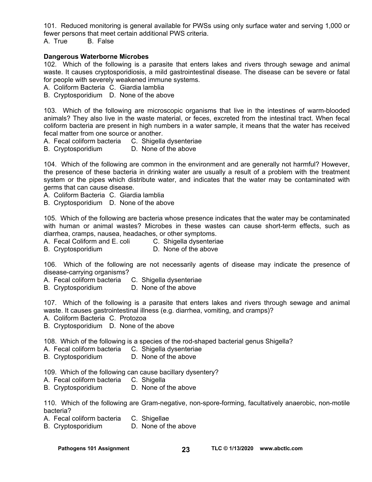101. Reduced monitoring is general available for PWSs using only surface water and serving 1,000 or fewer persons that meet certain additional PWS criteria. A. True B. False

#### **Dangerous Waterborne Microbes**

102. Which of the following is a parasite that enters lakes and rivers through sewage and animal waste. It causes cryptosporidiosis, a mild gastrointestinal disease. The disease can be severe or fatal for people with severely weakened immune systems.

A. Coliform Bacteria C. Giardia lamblia

B. Cryptosporidium D. None of the above

103. Which of the following are microscopic organisms that live in the intestines of warm-blooded animals? They also live in the waste material, or feces, excreted from the intestinal tract. When fecal coliform bacteria are present in high numbers in a water sample, it means that the water has received fecal matter from one source or another.

A. Fecal coliform bacteria C. Shigella dysenteriae

B. Cryptosporidium D. None of the above

104. Which of the following are common in the environment and are generally not harmful? However, the presence of these bacteria in drinking water are usually a result of a problem with the treatment system or the pipes which distribute water, and indicates that the water may be contaminated with germs that can cause disease.

A. Coliform Bacteria C. Giardia lamblia

B. Cryptosporidium D. None of the above

105. Which of the following are bacteria whose presence indicates that the water may be contaminated with human or animal wastes? Microbes in these wastes can cause short-term effects, such as diarrhea, cramps, nausea, headaches, or other symptoms.

A. Fecal Coliform and E. coli C. Shigella dysenteriae

B. Cryptosporidium D. None of the above

106. Which of the following are not necessarily agents of disease may indicate the presence of disease-carrying organisms?

A. Fecal coliform bacteria C. Shigella dysenteriae

B. Cryptosporidium D. None of the above

107. Which of the following is a parasite that enters lakes and rivers through sewage and animal waste. It causes gastrointestinal illness (e.g. diarrhea, vomiting, and cramps)?

A. Coliform Bacteria C. Protozoa

B. Cryptosporidium D. None of the above

108. Which of the following is a species of the rod-shaped bacterial genus Shigella?

A. Fecal coliform bacteria C. Shigella dysenteriae

B. Cryptosporidium D. None of the above

109. Which of the following can cause bacillary dysentery?

A. Fecal coliform bacteria C. Shigella

B. Cryptosporidium D. None of the above

110. Which of the following are Gram-negative, non-spore-forming, facultatively anaerobic, non-motile bacteria?

A. Fecal coliform bacteria C. Shigellae

B. Cryptosporidium D. None of the above

Pathogens 101 Assignment 23 TLC © 1/13/2020 www.abctlc.com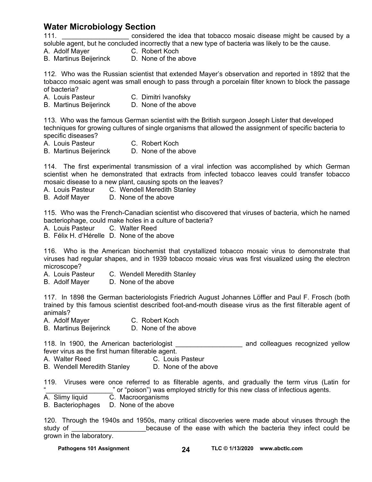# **Water Microbiology Section**

111. **Example 111.** The considered the idea that tobacco mosaic disease might be caused by a soluble agent, but he concluded incorrectly that a new type of bacteria was likely to be the cause.

- A. Adolf Mayer C. Robert Koch
- B. Martinus Beijerinck D. None of the above

112. Who was the Russian scientist that extended Mayer's observation and reported in 1892 that the tobacco mosaic agent was small enough to pass through a porcelain filter known to block the passage of bacteria?

- A. Louis Pasteur C. Dimitri Ivanofsky
- B. Martinus Beijerinck D. None of the above

113. Who was the famous German scientist with the British surgeon Joseph Lister that developed techniques for growing cultures of single organisms that allowed the assignment of specific bacteria to specific diseases?

- A. Louis Pasteur C. Robert Koch
- B. Martinus Beijerinck D. None of the above

114. The first experimental transmission of a viral infection was accomplished by which German scientist when he demonstrated that extracts from infected tobacco leaves could transfer tobacco mosaic disease to a new plant, causing spots on the leaves?

A. Louis Pasteur C. Wendell Meredith Stanley

B. Adolf Mayer D. None of the above

115. Who was the French-Canadian scientist who discovered that viruses of bacteria, which he named bacteriophage, could make holes in a culture of bacteria?

A. Louis Pasteur C. Walter Reed

B. Félix H. d'Hérelle D. None of the above

116. Who is the American biochemist that crystallized tobacco mosaic virus to demonstrate that viruses had regular shapes, and in 1939 tobacco mosaic virus was first visualized using the electron microscope?

A. Louis Pasteur C. Wendell Meredith Stanley

B. Adolf Mayer D. None of the above

117. In 1898 the German bacteriologists Friedrich August Johannes Löffler and Paul F. Frosch (both trained by this famous scientist described foot-and-mouth disease virus as the first filterable agent of animals?

A. Adolf Mayer C. Robert Koch

B. Martinus Beijerinck D. None of the above

118. In 1900, the American bacteriologist **the actemic and colleagues recognized yellow** fever virus as the first human filterable agent.

A. Walter Reed C. Louis Pasteur

B. Wendell Meredith Stanley D. None of the above

119. Viruses were once referred to as filterable agents, and gradually the term virus (Latin for " or "poison") was employed strictly for this new class of infectious agents.

A. Slimy liquid C. Macroorganisms

B. Bacteriophages D. None of the above

120. Through the 1940s and 1950s, many critical discoveries were made about viruses through the study of **EXEC EXECUTE:** because of the ease with which the bacteria they infect could be grown in the laboratory.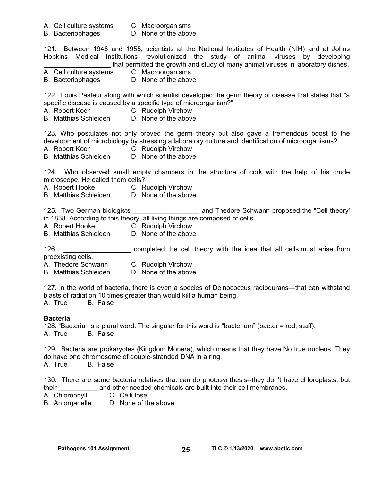- A. Cell culture systems C. Macroorganisms
	-
- B. Bacteriophages D. None of the above

121. Between 1948 and 1955, scientists at the National Institutes of Health (NIH) and at Johns Hopkins Medical Institutions revolutionized the study of animal viruses by developing that permitted the growth and study of many animal viruses in laboratory dishes.

- A. Cell culture systems C. Macroorganisms
	-
- B. Bacteriophages **D. None of the above**

122. Louis Pasteur along with which scientist developed the germ theory of disease that states that "a specific disease is caused by a specific type of microorganism?"

- C. Rudolph Virchow
- B. Matthias Schleiden D. None of the above

123. Who postulates not only proved the germ theory but also gave a tremendous boost to the development of microbiology by stressing a laboratory culture and identification of microorganisms?

- A. Robert Koch C. Rudolph Virchow
- B. Matthias Schleiden D. None of the above

124. Who observed small empty chambers in the structure of cork with the help of his crude microscope. He called them cells?

- A. Robert Hooke C. Rudolph Virchow
- B. Matthias Schleiden D. None of the above

125. Two German biologists \_\_\_\_\_\_\_\_\_\_\_\_\_\_\_\_\_\_ and Thedore Schwann proposed the "Cell theory' in 1838. According to this theory, all living things are composed of cells.

- A. Robert Hooke C. Rudolph Virchow
- B. Matthias Schleiden D. None of the above

126. \_\_\_\_\_\_\_\_\_\_\_\_\_\_\_\_\_\_\_\_\_\_\_\_\_\_ completed the cell theory with the idea that all cells must arise from

preexisting cells.

A. Thedore Schwann C. Rudolph Virchow

B. Matthias Schleiden D. None of the above

127. In the world of bacteria, there is even a species of Deinococcus radiodurans—that can withstand blasts of radiation 10 times greater than would kill a human being. A. True B. False

#### **Bacteria**

128. "Bacteria" is a plural word. The singular for this word is "bacterium" (bacter = rod, staff). A. True B. False

129. Bacteria are prokaryotes (Kingdom Monera), which means that they have No true nucleus. They do have one chromosome of double-stranded DNA in a ring.

A. True B. False

130. There are some bacteria relatives that can do photosynthesis--they don't have chloroplasts, but their \_\_\_\_\_\_\_\_\_\_\_and other needed chemicals are built into their cell membranes.

A. Chlorophyll C. Cellulose

B. An organelle D. None of the above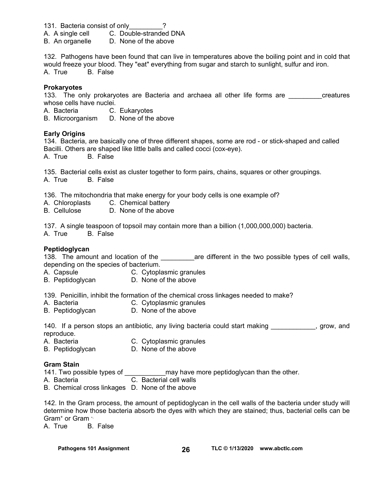131. Bacteria consist of only 2

A. A single cell C. Double-stranded DNA

B. An organelle D. None of the above

132. Pathogens have been found that can live in temperatures above the boiling point and in cold that would freeze your blood. They "eat" everything from sugar and starch to sunlight, sulfur and iron. A. True B. False

#### **Prokaryotes**

133. The only prokaryotes are Bacteria and archaea all other life forms are exactures whose cells have nuclei.

A. Bacteria C. Eukaryotes

B. Microorganism D. None of the above

#### **Early Origins**

134. Bacteria, are basically one of three different shapes, some are rod - or stick-shaped and called Bacilli. Others are shaped like little balls and called cocci (cox-eye). A. True B. False

135. Bacterial cells exist as cluster together to form pairs, chains, squares or other groupings. A. True B. False

136. The mitochondria that make energy for your body cells is one example of?

- A. Chloroplasts C. Chemical battery
- B. Cellulose D. None of the above

137. A single teaspoon of topsoil may contain more than a billion (1,000,000,000) bacteria. A. True B. False

#### **Peptidoglycan**

138. The amount and location of the \_\_\_\_\_\_\_\_\_are different in the two possible types of cell walls, depending on the species of bacterium.

- A. Capsule **C.** Cytoplasmic granules
	-
- B. Peptidoglycan D. None of the above

139. Penicillin, inhibit the formation of the chemical cross linkages needed to make?

- A. Bacteria C. Cytoplasmic granules
- B. Peptidoglycan D. None of the above

140. If a person stops an antibiotic, any living bacteria could start making example in the system of the stat reproduce.

- A. Bacteria C. Cytoplasmic granules
- B. Peptidoglycan D. None of the above

#### **Gram Stain**

141. Two possible types of \_\_\_\_\_\_\_\_\_\_\_\_\_\_\_may have more peptidoglycan than the other.

- A. Bacteria C. Bacterial cell walls
- B. Chemical cross linkages D. None of the above

142. In the Gram process, the amount of peptidoglycan in the cell walls of the bacteria under study will determine how those bacteria absorb the dyes with which they are stained; thus, bacterial cells can be Gram<sup>+</sup> or Gram -

A. True B. False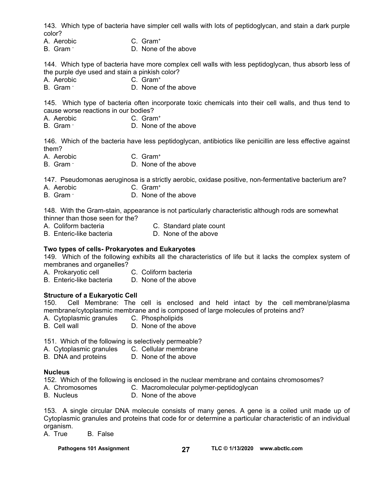143. Which type of bacteria have simpler cell walls with lots of peptidoglycan, and stain a dark purple color?

- A. Aerobic C. Gram+
- B. Gram -D. None of the above

144. Which type of bacteria have more complex cell walls with less peptidoglycan, thus absorb less of the purple dye used and stain a pinkish color?

- A. Aerobic C. Gram+
- B. Gram D. None of the above

145. Which type of bacteria often incorporate toxic chemicals into their cell walls, and thus tend to cause worse reactions in our bodies?

- A. Aerobic C. Gram+
- B. Gram D. None of the above

146. Which of the bacteria have less peptidoglycan, antibiotics like penicillin are less effective against them?

- A. Aerobic C. Gram+
- B. Gram D. None of the above

147. Pseudomonas aeruginosa is a strictly aerobic, oxidase positive, non-fermentative bacterium are?

- A. Aerobic C. Gram+
- B. Gram -D. None of the above

148. With the Gram-stain, appearance is not particularly characteristic although rods are somewhat thinner than those seen for the?

- A. Coliform bacteria C. Standard plate count
- B. Enteric-like bacteria **D.** None of the above

#### **Two types of cells- Prokaryotes and Eukaryotes**

149. Which of the following exhibits all the characteristics of life but it lacks the complex system of membranes and organelles?

- A. Prokaryotic cell **C. Coliform bacteria**
- B. Enteric-like bacteria D. None of the above

#### **Structure of a Eukaryotic Cell**

150. Cell Membrane: The cell is enclosed and held intact by the cell membrane/plasma membrane/cytoplasmic membrane and is composed of large molecules of proteins and?

- A. Cytoplasmic granules C. Phospholipids<br>B. Cell wall **B.** D. None of the ab
- D. None of the above
- 151. Which of the following is selectively permeable?
- A. Cytoplasmic granules C. Cellular membrane
- B. DNA and proteins D. None of the above

#### **Nucleus**

152. Which of the following is enclosed in the nuclear membrane and contains chromosomes?

- A. Chromosomes C. Macromolecular polymer-peptidoglycan<br>B. Nucleus B. None of the above
- D. None of the above

153. A single circular DNA molecule consists of many genes. A gene is a coiled unit made up of Cytoplasmic granules and proteins that code for or determine a particular characteristic of an individual organism.

A. True B. False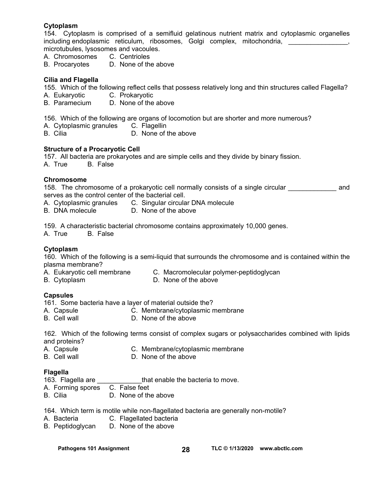#### **Cytoplasm**

154. Cytoplasm is comprised of a semifluid gelatinous nutrient matrix and cytoplasmic organelles including endoplasmic reticulum, ribosomes, Golgi complex, mitochondria, microtubules, lysosomes and vacoules.

- A. Chromosomes C. Centrioles
- B. Procaryotes D. None of the above

#### **Cilia and Flagella**

155. Which of the following reflect cells that possess relatively long and thin structures called Flagella?

- A. Eukaryotic C. Prokaryotic
- B. Paramecium D. None of the above

156. Which of the following are organs of locomotion but are shorter and more numerous?

- A. Cytoplasmic granules C. Flagellin
- B. Cilia **D.** None of the above

#### **Structure of a Procaryotic Cell**

157. All bacteria are prokaryotes and are simple cells and they divide by binary fission.

A. True B. False

#### **Chromosome**

158. The chromosome of a prokaryotic cell normally consists of a single circular **come and** serves as the control center of the bacterial cell.

- A. Cytoplasmic granules C. Singular circular DNA molecule
- B. DNA molecule D. None of the above

159. A characteristic bacterial chromosome contains approximately 10,000 genes.

A. True B. False

#### **Cytoplasm**

160. Which of the following is a semi-liquid that surrounds the chromosome and is contained within the plasma membrane?

- A. Eukaryotic cell membrane C. Macromolecular polymer-peptidoglycan
- B. Cytoplasm D. None of the above
- 

#### **Capsules**

161. Some bacteria have a layer of material outside the?

- A. Capsule C. Membrane/cytoplasmic membrane
- B. Cell wall **D.** None of the above

162. Which of the following terms consist of complex sugars or polysaccharides combined with lipids and proteins?

- A. Capsule C. Membrane/cytoplasmic membrane
- B. Cell wall **D.** None of the above

#### **Flagella**

163. Flagella are **that enable the bacteria to move.** 

- A. Forming spores C. False feet
- B. Cilia D. None of the above

164. Which term is motile while non-flagellated bacteria are generally non-motile?

- A. Bacteria C. Flagellated bacteria
- B. Peptidoglycan D. None of the above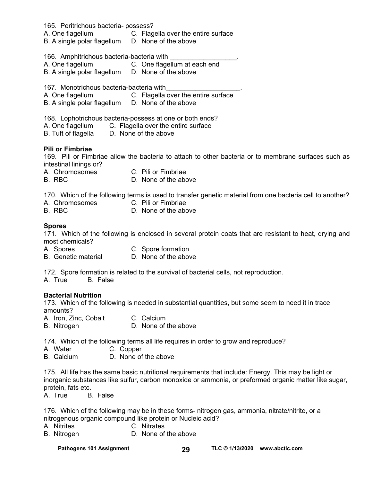- 165. Peritrichous bacteria- possess?
- A. One flagellum C. Flagella over the entire surface
- B. A single polar flagellum D. None of the above
- 166. Amphitrichous bacteria-bacteria with
- A. One flagellum C. One flagellum at each end
- B. A single polar flagellum D. None of the above

167. Monotrichous bacteria-bacteria with

- A. One flagellum C. Flagella over the entire surface
- B. A single polar flagellum D. None of the above
- 168. Lophotrichous bacteria-possess at one or both ends?
- A. One flagellum C. Flagella over the entire surface
- B. Tuft of flagella D. None of the above

#### **Pili or Fimbriae**

169. Pili or Fimbriae allow the bacteria to attach to other bacteria or to membrane surfaces such as intestinal linings or?

- A. Chromosomes C. Pili or Fimbriae
- B. RBC D. None of the above

170. Which of the following terms is used to transfer genetic material from one bacteria cell to another?

- A. Chromosomes C. Pili or Fimbriae
- B. RBC D. None of the above

#### **Spores**

171. Which of the following is enclosed in several protein coats that are resistant to heat, drying and most chemicals?

- A. Spores C. Spore formation
- B. Genetic material D. None of the above

172. Spore formation is related to the survival of bacterial cells, not reproduction.

A. True B. False

#### **Bacterial Nutrition**

173. Which of the following is needed in substantial quantities, but some seem to need it in trace amounts?

- A. Iron, Zinc, Cobalt C. Calcium
- B. Nitrogen D. None of the above

174. Which of the following terms all life requires in order to grow and reproduce?

- A. Water C. Copper
- B. Calcium D. None of the above

175. All life has the same basic nutritional requirements that include: Energy. This may be light or inorganic substances like sulfur, carbon monoxide or ammonia, or preformed organic matter like sugar, protein, fats etc.<br>A. True B.

**B.** False

176. Which of the following may be in these forms- nitrogen gas, ammonia, nitrate/nitrite, or a nitrogenous organic compound like protein or Nucleic acid?

- A. Nitrites C. Nitrates
- B. Nitrogen D. None of the above

Pathogens 101 Assignment 29 TLC © 1/13/2020 www.abctlc.com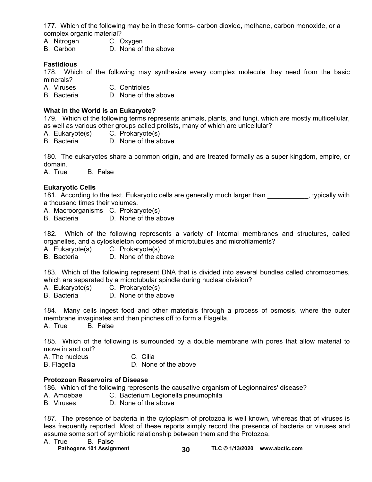177. Which of the following may be in these forms- carbon dioxide, methane, carbon monoxide, or a complex organic material?

A. Nitrogen C. Oxygen

B. Carbon D. None of the above

#### **Fastidious**

178. Which of the following may synthesize every complex molecule they need from the basic minerals?

- A. Viruses C. Centrioles
- B. Bacteria D. None of the above

#### **What in the World is an Eukaryote?**

179. Which of the following terms represents animals, plants, and fungi, which are mostly multicellular, as well as various other groups called protists, many of which are unicellular?

- A. Eukaryote(s) C. Prokaryote(s)
- B. Bacteria D. None of the above

180. The eukaryotes share a common origin, and are treated formally as a super kingdom, empire, or domain.

A. True B. False

#### **Eukaryotic Cells**

181. According to the text, Eukaryotic cells are generally much larger than \_\_\_\_\_\_\_\_\_\_\_, typically with a thousand times their volumes.

A. Macroorganisms C. Prokaryote(s)

B. Bacteria D. None of the above

182. Which of the following represents a variety of Internal membranes and structures, called organelles, and a cytoskeleton composed of microtubules and microfilaments?

A. Eukaryote(s) C. Prokaryote(s)

B. Bacteria D. None of the above

183. Which of the following represent DNA that is divided into several bundles called chromosomes, which are separated by a microtubular spindle during nuclear division?

A. Eukaryote(s) C. Prokaryote(s)

B. Bacteria D. None of the above

184. Many cells ingest food and other materials through a process of osmosis, where the outer membrane invaginates and then pinches off to form a Flagella.

A. True B. False

185. Which of the following is surrounded by a double membrane with pores that allow material to move in and out?

A. The nucleus C. Cilia

B. Flagella D. None of the above

#### **Protozoan Reservoirs of Disease**

186. Which of the following represents the causative organism of Legionnaires' disease?

- A. Amoebae C. Bacterium Legionella pneumophila
- B. Viruses D. None of the above

187. The presence of bacteria in the cytoplasm of protozoa is well known, whereas that of viruses is less frequently reported. Most of these reports simply record the presence of bacteria or viruses and assume some sort of symbiotic relationship between them and the Protozoa.

- A. True B. False
	-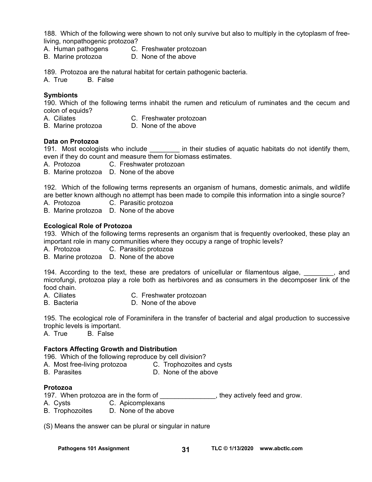188. Which of the following were shown to not only survive but also to multiply in the cytoplasm of freeliving, nonpathogenic protozoa?

- A. Human pathogens C. Freshwater protozoan
- B. Marine protozoa D. None of the above

189. Protozoa are the natural habitat for certain pathogenic bacteria.

A. True B. False

#### **Symbionts**

190. Which of the following terms inhabit the rumen and reticulum of ruminates and the cecum and colon of equids?

- A. Ciliates C. Freshwater protozoan
- B. Marine protozoa D. None of the above

#### **Data on Protozoa**

191.Most ecologists who include \_\_\_\_\_\_\_\_ in their studies of aquatic habitats do not identify them, even if they do count and measure them for biomass estimates.

- A. Protozoa C. Freshwater protozoan
- B. Marine protozoa D. None of the above

192. Which of the following terms represents an organism of humans, domestic animals, and wildlife are better known although no attempt has been made to compile this information into a single source?

A. Protozoa C. Parasitic protozoa

B. Marine protozoa D. None of the above

#### **Ecological Role of Protozoa**

193. Which of the following terms represents an organism that is frequently overlooked, these play an important role in many communities where they occupy a range of trophic levels?

A. Protozoa C. Parasitic protozoa

B. Marine protozoa D. None of the above

194. According to the text, these are predators of unicellular or filamentous algae, \_\_\_\_\_\_\_\_, and microfungi, protozoa play a role both as herbivores and as consumers in the decomposer link of the food chain.

- A. Ciliates C. Freshwater protozoan
- B. Bacteria D. None of the above

195. The ecological role of Foraminifera in the transfer of bacterial and algal production to successive trophic levels is important.

A. True B. False

#### **Factors Affecting Growth and Distribution**

196.Which of the following reproduce by cell division?

- A. Most free-living protozoa C. Trophozoites and cysts
- 
- B. Parasites **D.** None of the above

#### **Protozoa**

197. When protozoa are in the form of the state in the vactively feed and grow.

- A. Cysts C. Apicomplexans
- B. Trophozoites D. None of the above

(S) Means the answer can be plural or singular in nature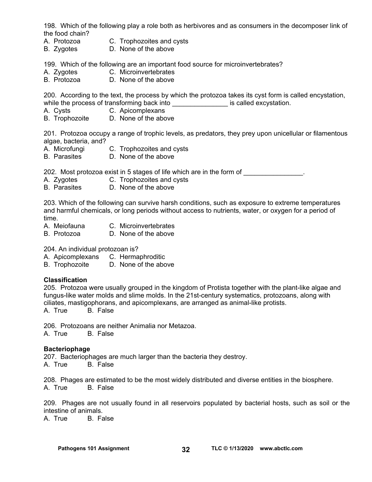198. Which of the following play a role both as herbivores and as consumers in the decomposer link of the food chain?

- A. Protozoa C. Trophozoites and cysts
- B. Zygotes D. None of the above

199. Which of the following are an important food source for microinvertebrates?

- A. Zygotes C. Microinvertebrates
- B. Protozoa D. None of the above

200. According to the text, the process by which the protozoa takes its cyst form is called encystation, while the process of transforming back into **the excistation** is called excystation.

- A. Cysts C. Apicomplexans
- B. Trophozoite D. None of the above

201. Protozoa occupy a range of trophic levels, as predators, they prey upon unicellular or filamentous algae, bacteria, and?

- A. Microfungi C. Trophozoites and cysts
- B. Parasites D. None of the above

202. Most protozoa exist in 5 stages of life which are in the form of

- A. Zygotes C. Trophozoites and cysts
- B. Parasites D. None of the above

203. Which of the following can survive harsh conditions, such as exposure to extreme temperatures and harmful chemicals, or long periods without access to nutrients, water, or oxygen for a period of time.

- A. Meiofauna C. Microinvertebrates
- B. Protozoa D. None of the above

204. An individual protozoan is?

A. Apicomplexans C. Hermaphroditic

B. Trophozoite D. None of the above

#### **Classification**

205. Protozoa were usually grouped in the kingdom of Protista together with the plant-like algae and fungus-like water molds and slime molds. In the 21st-century systematics, protozoans, along with ciliates, mastigophorans, and apicomplexans, are arranged as animal-like protists. A. True B. False

206. Protozoans are neither Animalia nor Metazoa.

A. True B. False

#### **Bacteriophage**

207. Bacteriophages are much larger than the bacteria they destroy.

A. True B. False

208. Phages are estimated to be the most widely distributed and diverse entities in the biosphere. A. True B. False

209. Phages are not usually found in all reservoirs populated by bacterial hosts, such as soil or the intestine of animals.

A. True B. False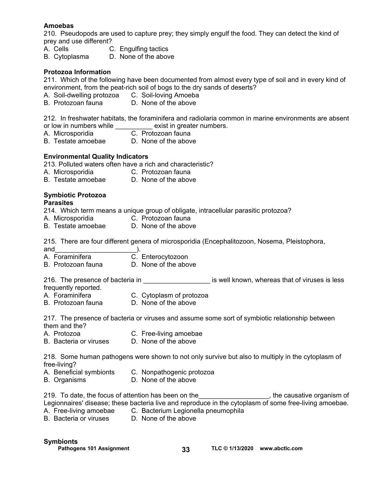#### **Amoebas**

210. Pseudopods are used to capture prey; they simply engulf the food. They can detect the kind of prey and use different?

- A. Cells C. Engulfing tactics
- B. Cytoplasma D. None of the above

#### **Protozoa Information**

211. Which of the following have been documented from almost every type of soil and in every kind of environment, from the peat-rich soil of bogs to the dry sands of deserts?

- A. Soil-dwelling protozoa C. Soil-loving Amoeba
- B. Protozoan fauna D. None of the above

212. In freshwater habitats, the foraminifera and radiolaria common in marine environments are absent or low in numbers while exist in greater numbers.

- A. Microsporidia C. Protozoan fauna
- B. Testate amoebae D. None of the above

#### **Environmental Quality Indicators**

213. Polluted waters often have a rich and characteristic?

- A. Microsporidia C. Protozoan fauna
- B. Testate amoebae D. None of the above

#### **Symbiotic Protozoa**

#### **Parasites**

214. Which term means a unique group of obligate, intracellular parasitic protozoa?

- A. Microsporidia C. Protozoan fauna
- B. Testate amoebae D. None of the above

215. There are four different genera of microsporidia (Encephalitozoon, Nosema, Pleistophora,

- 
- and  $\qquad \qquad$  ). A. Foraminifera C. Enterocytozoon
- B. Protozoan fauna D. None of the above

216. The presence of bacteria in **the set of the set of viruses** is less is less

- frequently reported.
- A. Foraminifera C. Cytoplasm of protozoa
- B. Protozoan fauna D. None of the above

217. The presence of bacteria or viruses and assume some sort of symbiotic relationship between them and the?

- A. Protozoa C. Free-living amoebae B. Sacteria or viruses D. None of the above
- B. Bacteria or viruses

218. Some human pathogens were shown to not only survive but also to multiply in the cytoplasm of free-living?

- A. Beneficial symbionts C. Nonpathogenic protozoa
- B. Organisms D. None of the above

219. To date, the focus of attention has been on the the match of the causative organism of Legionnaires' disease; these bacteria live and reproduce in the cytoplasm of some free-living amoebae.

- A. Free-living amoebae C. Bacterium Legionella pneumophila
- B. Bacteria or viruses D. None of the above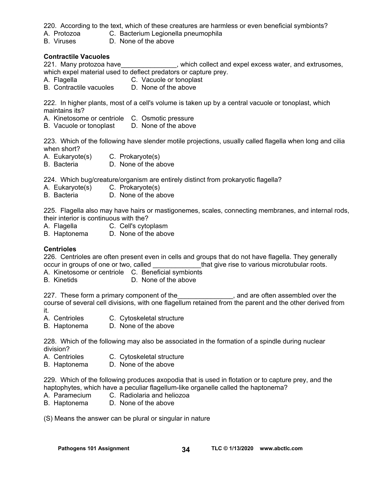220. According to the text, which of these creatures are harmless or even beneficial symbionts?

A. Protozoa C. Bacterium Legionella pneumophila

B. Viruses D. None of the above

#### **Contractile Vacuoles**

221. Many protozoa have\_\_\_\_\_\_\_\_\_\_\_\_\_\_, which collect and expel excess water, and extrusomes, which expel material used to deflect predators or capture prey.

- A. Flagella C. Vacuole or tonoplast
- B. Contractile vacuoles D. None of the above

222. In higher plants, most of a cell's volume is taken up by a central vacuole or tonoplast, which maintains its?

- A. Kinetosome or centriole C. Osmotic pressure
- B. Vacuole or tonoplast D. None of the above

223. Which of the following have slender motile projections, usually called flagella when long and cilia when short?

- A. Eukaryote(s) C. Prokaryote(s)
- B. Bacteria **D.** None of the above

224. Which bug/creature/organism are entirely distinct from prokaryotic flagella?

- A. Eukaryote(s) C. Prokaryote(s)
- B. Bacteria D. None of the above

225. Flagella also may have hairs or mastigonemes, scales, connecting membranes, and internal rods, their interior is continuous with the?

- A. Flagella C. Cell's cytoplasm
- B. Haptonema D. None of the above

#### **Centrioles**

226. Centrioles are often present even in cells and groups that do not have flagella. They generally occur in groups of one or two, called **that give rise to various microtubular roots**.

- A. Kinetosome or centriole C. Beneficial symbionts
- B. Kinetids D. None of the above

227. These form a primary component of the \_\_\_\_\_\_\_\_\_\_\_\_\_\_\_, and are often assembled over the course of several cell divisions, with one flagellum retained from the parent and the other derived from it.

- A. Centrioles C. Cytoskeletal structure
- B. Haptonema D. None of the above

228. Which of the following may also be associated in the formation of a spindle during nuclear division?

- A. Centrioles C. Cytoskeletal structure
- B. Haptonema D. None of the above

229. Which of the following produces axopodia that is used in flotation or to capture prey, and the haptophytes, which have a peculiar flagellum-like organelle called the haptonema?

- A. Paramecium C. Radiolaria and heliozoa
- B. Haptonema D. None of the above

(S) Means the answer can be plural or singular in nature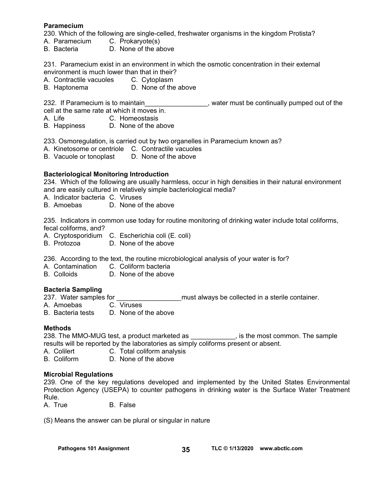#### **Paramecium**

230. Which of the following are single-celled, freshwater organisms in the kingdom Protista?

- A. Paramecium C. Prokaryote(s)
- B. Bacteria D. None of the above

231. Paramecium exist in an environment in which the osmotic concentration in their external environment is much lower than that in their?

- A. Contractile vacuoles C. Cytoplasm
- B. Haptonema D. None of the above

232. If Paramecium is to maintain\_\_\_\_\_\_\_\_\_\_\_\_\_\_\_\_, water must be continually pumped out of the cell at the same rate at which it moves in.

- A. Life C. Homeostasis
- B. Happiness D. None of the above

233. Osmoregulation, is carried out by two organelles in Paramecium known as?

A. Kinetosome or centriole C. Contractile vacuoles

B. Vacuole or tonoplast D. None of the above

#### **Bacteriological Monitoring Introduction**

234. Which of the following are usually harmless, occur in high densities in their natural environment and are easily cultured in relatively simple bacteriological media?

A. Indicator bacteria C. Viruses

B. Amoebas D. None of the above

235. Indicators in common use today for routine monitoring of drinking water include total coliforms, fecal coliforms, and?

- A. Cryptosporidium C. Escherichia coli (E. coli)
- B. Protozoa D. None of the above

236. According to the text, the routine microbiological analysis of your water is for?

A. Contamination C. Coliform bacteria

B. Colloids D. None of the above

#### **Bacteria Sampling**

237. Water samples for \_\_\_\_\_\_\_\_\_\_\_\_\_\_\_\_\_ must always be collected in a sterile container.

- A. Amoebas C. Viruses
- B. Bacteria tests D. None of the above

#### **Methods**

238. The MMO-MUG test, a product marketed as \_\_\_\_\_\_\_\_\_\_\_\_, is the most common. The sample results will be reported by the laboratories as simply coliforms present or absent.

A. Colilert **C.** Total coliform analysis

B. Coliform D. None of the above

#### **Microbial Regulations**

239. One of the key regulations developed and implemented by the United States Environmental Protection Agency (USEPA) to counter pathogens in drinking water is the Surface Water Treatment Rule.

A. True B. False

(S) Means the answer can be plural or singular in nature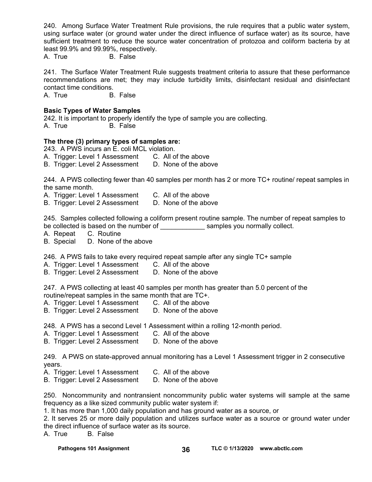240. Among Surface Water Treatment Rule provisions, the rule requires that a public water system, using surface water (or ground water under the direct influence of surface water) as its source, have sufficient treatment to reduce the source water concentration of protozoa and coliform bacteria by at least 99.9% and 99.99%, respectively.

A. True B. False

241. The Surface Water Treatment Rule suggests treatment criteria to assure that these performance recommendations are met; they may include turbidity limits, disinfectant residual and disinfectant contact time conditions.

A. True B. False

#### **Basic Types of Water Samples**

242. It is important to properly identify the type of sample you are collecting. A. True B. False

#### **The three (3) primary types of samples are:**

243. A PWS incurs an E. coli MCL violation. A. Trigger: Level 1 Assessment C. All of the above B. Trigger: Level 2 Assessment D. None of the above

244. A PWS collecting fewer than 40 samples per month has 2 or more TC+ routine/ repeat samples in the same month.

A. Trigger: Level 1 Assessment C. All of the above

B. Trigger: Level 2 Assessment D. None of the above

245. Samples collected following a coliform present routine sample. The number of repeat samples to be collected is based on the number of  $\Box$  samples you normally collect.

A. Repeat C. Routine

B. Special D. None of the above

246. A PWS fails to take every required repeat sample after any single TC+ sample

A. Trigger: Level 1 Assessment C. All of the above

B. Trigger: Level 2 Assessment D. None of the above

247. A PWS collecting at least 40 samples per month has greater than 5.0 percent of the routine/repeat samples in the same month that are TC+.

- A. Trigger: Level 1 Assessment C. All of the above
- B. Trigger: Level 2 Assessment D. None of the above

248. A PWS has a second Level 1 Assessment within a rolling 12-month period.

- A. Trigger: Level 1 Assessment C. All of the above
- B. Trigger: Level 2 Assessment D. None of the above

249. A PWS on state-approved annual monitoring has a Level 1 Assessment trigger in 2 consecutive years.

- A. Trigger: Level 1 Assessment C. All of the above
	-
- B. Trigger: Level 2 Assessment D. None of the above

250. Noncommunity and nontransient noncommunity public water systems will sample at the same frequency as a like sized community public water system if:

1. It has more than 1,000 daily population and has ground water as a source, or

2. It serves 25 or more daily population and utilizes surface water as a source or ground water under the direct influence of surface water as its source.

A. True B. False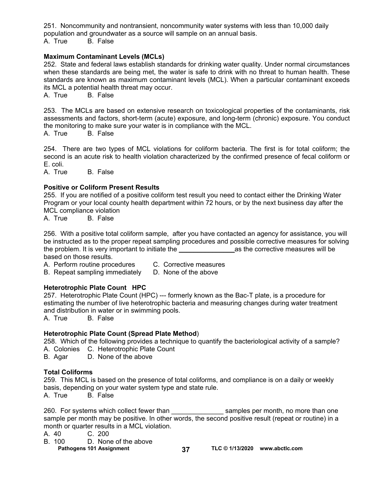251. Noncommunity and nontransient, noncommunity water systems with less than 10,000 daily population and groundwater as a source will sample on an annual basis. A. True B. False

#### **Maximum Contaminant Levels (MCLs)**

252. State and federal laws establish standards for drinking water quality. Under normal circumstances when these standards are being met, the water is safe to drink with no threat to human health. These standards are known as maximum contaminant levels (MCL). When a particular contaminant exceeds its MCL a potential health threat may occur.

A. True B. False

253. The MCLs are based on extensive research on toxicological properties of the contaminants, risk assessments and factors, short-term (acute) exposure, and long-term (chronic) exposure. You conduct the monitoring to make sure your water is in compliance with the MCL.

A. True B. False

254. There are two types of MCL violations for coliform bacteria. The first is for total coliform; the second is an acute risk to health violation characterized by the confirmed presence of fecal coliform or E. coli.

A. True B. False

#### **Positive or Coliform Present Results**

255. If you are notified of a positive coliform test result you need to contact either the Drinking Water Program or your local county health department within 72 hours, or by the next business day after the MCL compliance violation

A. True B. False

256. With a positive total coliform sample, after you have contacted an agency for assistance, you will be instructed as to the proper repeat sampling procedures and possible corrective measures for solving the problem. It is very important to initiate the entity are as the corrective measures will be based on those results.

A. Perform routine procedures C. Corrective measures

- 
- B. Repeat sampling immediately D. None of the above

#### **Heterotrophic Plate Count HPC**

257. Heterotrophic Plate Count (HPC) --- formerly known as the Bac-T plate, is a procedure for estimating the number of live heterotrophic bacteria and measuring changes during water treatment and distribution in water or in swimming pools.

A. True B. False

#### **Heterotrophic Plate Count (Spread Plate Method**)

258. Which of the following provides a technique to quantify the bacteriological activity of a sample? A. Colonies C. Heterotrophic Plate Count

B. Agar D. None of the above

#### **Total Coliforms**

259. This MCL is based on the presence of total coliforms, and compliance is on a daily or weekly basis, depending on your water system type and state rule.

A. True B. False

260. For systems which collect fewer than examples per month, no more than one sample per month may be positive. In other words, the second positive result (repeat or routine) in a month or quarter results in a MCL violation.

- A. 40 C. 200
- B. 100 D. None of the above
	-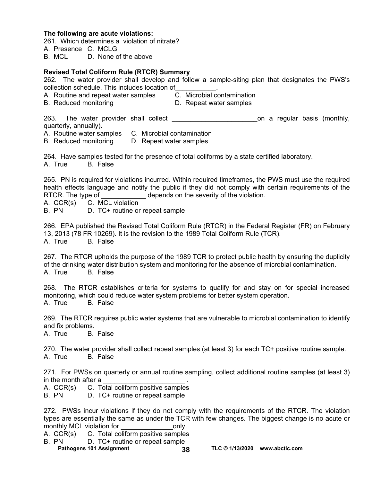#### **The following are acute violations:**

261. Which determines a violation of nitrate?

A. Presence C. MCLG

B. MCL D. None of the above

#### **Revised Total Coliform Rule (RTCR) Summary**

262. The water provider shall develop and follow a sample-siting plan that designates the PWS's collection schedule. This includes location of\_\_\_\_\_\_\_\_\_\_\_.

- A. Routine and repeat water samples C. Microbial contamination
- B. Reduced monitoring D. Repeat water samples
- 

263. The water provider shall collect \_\_\_\_\_\_\_\_\_\_\_\_\_\_\_\_\_\_\_\_\_\_\_\_\_\_\_\_\_\_on a regular basis (monthly, quarterly, annually).

A. Routine water samples C. Microbial contamination

B. Reduced monitoring D. Repeat water samples

264. Have samples tested for the presence of total coliforms by a state certified laboratory.

A. True B. False

265. PN is required for violations incurred. Within required timeframes, the PWS must use the required health effects language and notify the public if they did not comply with certain requirements of the RTCR. The type of The severity of the violation.

A. CCR(s) C. MCL violation

B. PN D. TC+ routine or repeat sample

266. EPA published the Revised Total Coliform Rule (RTCR) in the Federal Register (FR) on February 13, 2013 (78 FR 10269). It is the revision to the 1989 Total Coliform Rule (TCR). A. True B. False

267. The RTCR upholds the purpose of the 1989 TCR to protect public health by ensuring the duplicity of the drinking water distribution system and monitoring for the absence of microbial contamination. A. True B. False

268. The RTCR establishes criteria for systems to qualify for and stay on for special increased monitoring, which could reduce water system problems for better system operation. A. True B. False

269. The RTCR requires public water systems that are vulnerable to microbial contamination to identify and fix problems.

A. True B. False

270. The water provider shall collect repeat samples (at least 3) for each TC+ positive routine sample. A. True B. False

271. For PWSs on quarterly or annual routine sampling, collect additional routine samples (at least 3) in the month after a

A. CCR(s) C. Total coliform positive samples

B. PN D. TC+ routine or repeat sample

272. PWSs incur violations if they do not comply with the requirements of the RTCR. The violation types are essentially the same as under the TCR with few changes. The biggest change is no acute or monthly MCL violation for monthly MCL violation for

A. CCR(s) C. Total coliform positive samples

Pathogens 101 Assignment **38 TLC © 1/13/2020** www.abctlc.com B. PN D. TC+ routine or repeat sample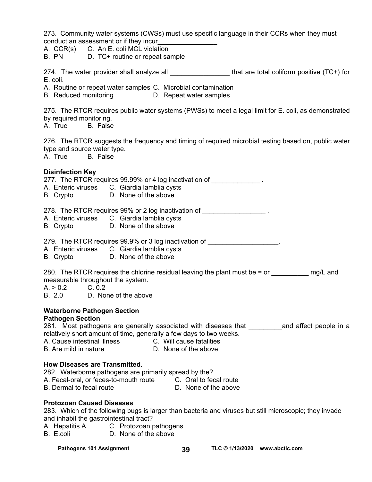273. Community water systems (CWSs) must use specific language in their CCRs when they must conduct an assessment or if they incur\_\_\_\_\_\_\_\_\_\_\_\_\_\_\_\_.

- A. CCR(s) C. An E. coli MCL violation
- B. PN D. TC+ routine or repeat sample

274. The water provider shall analyze all \_\_\_\_\_\_\_\_\_\_\_\_\_\_\_\_\_\_\_ that are total coliform positive (TC+) for E. coli.

A. Routine or repeat water samples C. Microbial contamination

B. Reduced monitoring D. Repeat water samples

275. The RTCR requires public water systems (PWSs) to meet a legal limit for E. coli, as demonstrated by required monitoring.

A. True B. False

276. The RTCR suggests the frequency and timing of required microbial testing based on, public water type and source water type. A. True B. False

#### **Disinfection Key**

277. The RTCR requires 99.99% or 4 log inactivation of A. Enteric viruses C. Giardia lamblia cysts

B. Crypto D. None of the above

278. The RTCR requires 99% or 2 log inactivation of \_\_\_\_\_\_\_\_\_\_\_\_\_\_\_\_\_\_\_\_.

- A. Enteric viruses C. Giardia lamblia cysts
- B. Crypto D. None of the above

279. The RTCR requires 99.9% or 3 log inactivation of

A. Enteric viruses C. Giardia lamblia cysts

B. Crypto D. None of the above

280. The RTCR requires the chlorine residual leaving the plant must be  $=$  or  $\frac{mq}{L}$  and measurable throughout the system.

 $A. > 0.2$  C. 0.2

B. 2.0 D. None of the above

#### **Waterborne Pathogen Section**

#### **Pathogen Section**

281. Most pathogens are generally associated with diseases that **and affect people in a** relatively short amount of time, generally a few days to two weeks.

- A. Cause intestinal illness C. Will cause fatalities
- B. Are mild in nature D. None of the above

#### **How Diseases are Transmitted.**

- 282. Waterborne pathogens are primarily spread by the?
- A. Fecal-oral, or feces-to-mouth route C. Oral to fecal route

B. Dermal to fecal route D. None of the above

#### **Protozoan Caused Diseases**

283. Which of the following bugs is larger than bacteria and viruses but still microscopic; they invade and inhabit the gastrointestinal tract?

- A. Hepatitis A C. Protozoan pathogens
- B. E.coli D. None of the above

Pathogens 101 Assignment **39 TLC © 1/13/2020** www.abctlc.com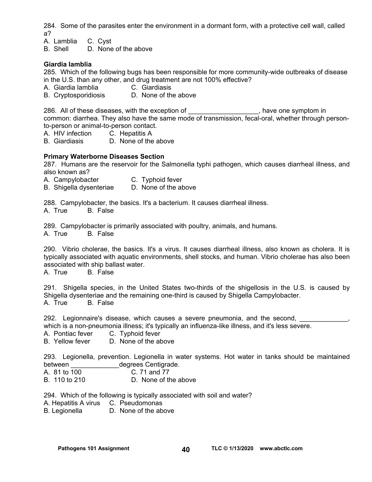284. Some of the parasites enter the environment in a dormant form, with a protective cell wall, called a?

A. Lamblia C. Cyst

B. Shell D. None of the above

#### **Giardia lamblia**

285. Which of the following bugs has been responsible for more community-wide outbreaks of disease in the U.S. than any other, and drug treatment are not 100% effective?

- A. Giardia lamblia C. Giardiasis
- B. Cryptosporidiosis D. None of the above

286. All of these diseases, with the exception of the state one symptom in common: diarrhea. They also have the same mode of transmission, fecal-oral, whether through personto-person or animal-to-person contact.

A. HIV infection C. Hepatitis A

B. Giardiasis D. None of the above

#### **Primary Waterborne Diseases Section**

287. Humans are the reservoir for the Salmonella typhi pathogen, which causes diarrheal illness, and also known as?

- A. Campylobacter **C.** Typhoid fever
- B. Shigella dysenteriae D. None of the above

288. Campylobacter, the basics. It's a bacterium. It causes diarrheal illness.

A. True B. False

289. Campylobacter is primarily associated with poultry, animals, and humans.

A. True B. False

290. Vibrio cholerae, the basics. It's a virus. It causes diarrheal illness, also known as cholera. It is typically associated with aquatic environments, shell stocks, and human. Vibrio cholerae has also been associated with ship ballast water.

A. True B. False

291. Shigella species, in the United States two-thirds of the shigellosis in the U.S. is caused by Shigella dysenteriae and the remaining one-third is caused by Shigella Campylobacter. A. True B. False

292. Legionnaire's disease, which causes a severe pneumonia, and the second, which is a non-pneumonia illness; it's typically an influenza-like illness, and it's less severe.

A. Pontiac fever C. Typhoid fever

B. Yellow fever D. None of the above

293. Legionella, prevention. Legionella in water systems. Hot water in tanks should be maintained between degrees Centigrade.

- 
- A. 81 to 100 C. 71 and 77<br>B. 110 to 210 D. None of the D. None of the above

294. Which of the following is typically associated with soil and water?

A. Hepatitis A virus C. Pseudomonas

B. Legionella D. None of the above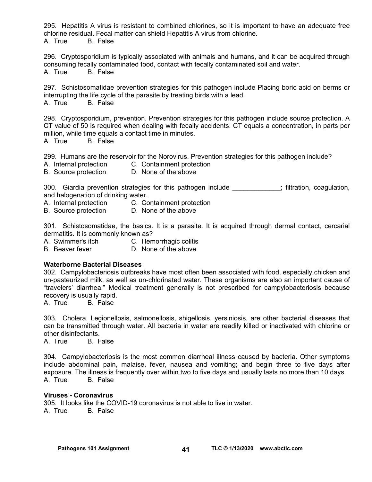295. Hepatitis A virus is resistant to combined chlorines, so it is important to have an adequate free chlorine residual. Fecal matter can shield Hepatitis A virus from chlorine. A. True B. False

296. Cryptosporidium is typically associated with animals and humans, and it can be acquired through consuming fecally contaminated food, contact with fecally contaminated soil and water. A. True B. False

297. Schistosomatidae prevention strategies for this pathogen include Placing boric acid on berms or interrupting the life cycle of the parasite by treating birds with a lead. A. True B. False

298. Cryptosporidium, prevention. Prevention strategies for this pathogen include source protection. A CT value of 50 is required when dealing with fecally accidents. CT equals a concentration, in parts per million, while time equals a contact time in minutes.

A. True B. False

299. Humans are the reservoir for the Norovirus. Prevention strategies for this pathogen include?

- A. Internal protection C. Containment protection
- B. Source protection D. None of the above

300. Giardia prevention strategies for this pathogen include \_\_\_\_\_\_\_\_\_\_\_\_\_; filtration, coagulation, and halogenation of drinking water.

- A. Internal protection C. Containment protection
- B. Source protection D. None of the above

301. Schistosomatidae, the basics. It is a parasite. It is acquired through dermal contact, cercarial dermatitis. It is commonly known as?

A. Swimmer's itch C. Hemorrhagic colitis

B. Beaver fever **D. None of the above** 

#### **Waterborne Bacterial Diseases**

302. Campylobacteriosis outbreaks have most often been associated with food, especially chicken and un-pasteurized milk, as well as un-chlorinated water. These organisms are also an important cause of "travelers' diarrhea." Medical treatment generally is not prescribed for campylobacteriosis because recovery is usually rapid.

A. True B. False

303. Cholera, Legionellosis, salmonellosis, shigellosis, yersiniosis, are other bacterial diseases that can be transmitted through water. All bacteria in water are readily killed or inactivated with chlorine or other disinfectants.

A. True B. False

304. Campylobacteriosis is the most common diarrheal illness caused by bacteria. Other symptoms include abdominal pain, malaise, fever, nausea and vomiting; and begin three to five days after exposure. The illness is frequently over within two to five days and usually lasts no more than 10 days. A. True B. False

#### **Viruses - Coronavirus**

305. It looks like the COVID-19 coronavirus is not able to live in water. A. True B. False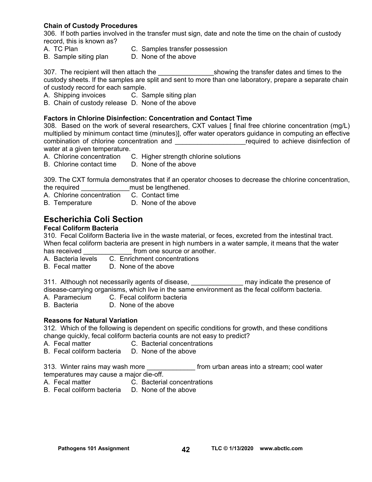#### **Chain of Custody Procedures**

306. If both parties involved in the transfer must sign, date and note the time on the chain of custody record, this is known as?

- A. TC Plan C. Samples transfer possession
- B. Sample siting plan D. None of the above

307. The recipient will then attach the \_\_\_\_\_\_\_\_\_\_\_\_\_\_\_\_\_\_\_\_\_\_\_showing the transfer dates and times to the custody sheets. If the samples are split and sent to more than one laboratory, prepare a separate chain of custody record for each sample.

A. Shipping invoices C. Sample siting plan

B. Chain of custody release D. None of the above

#### **Factors in Chlorine Disinfection: Concentration and Contact Time**

308. Based on the work of several researchers, CXT values [ final free chlorine concentration (mg/L) multiplied by minimum contact time (minutes)], offer water operators guidance in computing an effective combination of chlorine concentration and \_\_\_\_\_\_\_\_\_\_\_\_\_\_\_\_\_\_\_\_\_\_\_\_\_\_\_required to achieve disinfection of water at a given temperature.

A. Chlorine concentration C. Higher strength chlorine solutions

B. Chlorine contact time D. None of the above

309. The CXT formula demonstrates that if an operator chooses to decrease the chlorine concentration, the required **the required** must be lengthened.

A. Chlorine concentration C. Contact time

B. Temperature D. None of the above

# **Escherichia Coli Section**

#### **Fecal Coliform Bacteria**

310. Fecal Coliform Bacteria live in the waste material, or feces, excreted from the intestinal tract. When fecal coliform bacteria are present in high numbers in a water sample, it means that the water has received **the substitute of the source or another.** 

A. Bacteria levels C. Enrichment concentrations

B. Fecal matter D. None of the above

311. Although not necessarily agents of disease, \_\_\_\_\_\_\_\_\_\_\_\_\_\_\_ may indicate the presence of disease-carrying organisms, which live in the same environment as the fecal coliform bacteria.

A. Paramecium C. Fecal coliform bacteria<br>B. Bacteria B. None of the above

D. None of the above

#### **Reasons for Natural Variation**

312. Which of the following is dependent on specific conditions for growth, and these conditions change quickly, fecal coliform bacteria counts are not easy to predict?

- A. Fecal matter C. Bacterial concentrations
- B. Fecal coliform bacteria D. None of the above

313. Winter rains may wash more **the set of the stream** water from urban areas into a stream; cool water temperatures may cause a major die-off.

- A. Fecal matter C. Bacterial concentrations
- B. Fecal coliform bacteria D. None of the above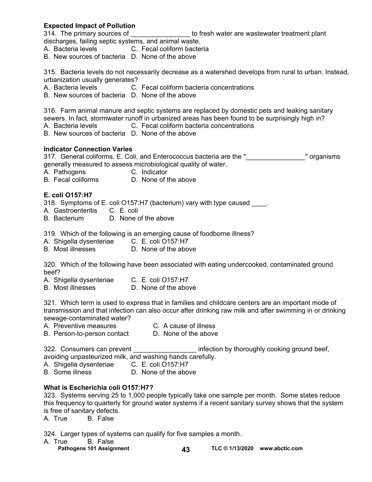#### **Expected Impact of Pollution**

314. The primary sources of **Example 20** to fresh water are wastewater treatment plant discharges, failing septic systems, and animal waste.

- A. Bacteria levels **C. Fecal coliform bacteria**
- B. New sources of bacteria D. None of the above

315. Bacteria levels do not necessarily decrease as a watershed develops from rural to urban. Instead, urbanization usually generates?

- A. Bacteria levels **C. Fecal coliform bacteria concentrations**
- B. New sources of bacteria D. None of the above

316. Farm animal manure and septic systems are replaced by domestic pets and leaking sanitary sewers. In fact, stormwater runoff in urbanized areas has been found to be surprisingly high in?

- A. Bacteria levels **C. Fecal coliform bacteria concentrations**
- B. New sources of bacteria D. None of the above

#### **Indicator Connection Varies**

317. General coliforms, E. Coli, and Enterococcus bacteria are the " The magnisms " organisms generally measured to assess microbiological quality of water.

A. Pathogens C. Indicator

B. Fecal coliforms D. None of the above

#### **E. coli O157:H7**

318. Symptoms of E. coli O157:H7 (bacterium) vary with type caused .

- A. Gastroenteritis C. E. coli
- B. Bacterium D. None of the above

319. Which of the following is an emerging cause of foodborne illness?

- A. Shigella dysenteriae C. E. coli O157:H7
- B. Most illnesses D. None of the above

320. Which of the following have been associated with eating undercooked, contaminated ground beef?

- A. Shigella dysenteriae C. E. coli O157:H7
- B. Most illnesses D. None of the above

321. Which term is used to express that in families and childcare centers are an important mode of transmission and that infection can also occur after drinking raw milk and after swimming in or drinking sewage-contaminated water?

A. Preventive measures C. A cause of illness

B. Person-to-person contact D. None of the above

322. Consumers can prevent **Exercise 2018** infection by thoroughly cooking ground beef, avoiding unpasteurized milk, and washing hands carefully.

- A. Shigella dysenteriae C. E. coli O157:H7
- B. Some illness D. None of the above

#### **What is Escherichia coli O157:H7?**

323. Systems serving 25 to 1,000 people typically take one sample per month. Some states reduce this frequency to quarterly for ground water systems if a recent sanitary survey shows that the system is free of sanitary defects.

A. True B. False

324. Larger types of systems can qualify for five samples a month.

- A. True B. False
	-
	- Pathogens 101 Assignment **43** TLC © 1/13/2020 www.abctlc.com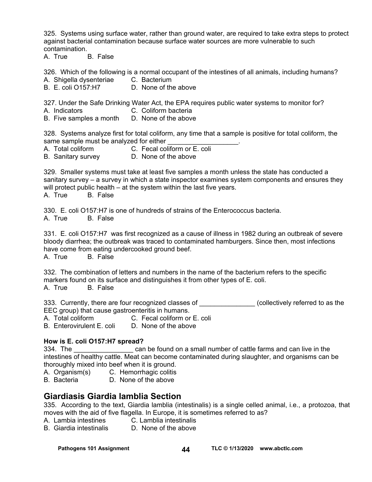325. Systems using surface water, rather than ground water, are required to take extra steps to protect against bacterial contamination because surface water sources are more vulnerable to such contamination.

A. True B. False

326. Which of the following is a normal occupant of the intestines of all animals, including humans?

- A. Shigella dysenteriae C. Bacterium
- B. E. coli O157:H7 D. None of the above

327. Under the Safe Drinking Water Act, the EPA requires public water systems to monitor for?

- A. Indicators C. Coliform bacteria
- B. Five samples a month D. None of the above

328. Systems analyze first for total coliform, any time that a sample is positive for total coliform, the same sample must be analyzed for either

- A. Total coliform C. Fecal coliform or E. coli
- B. Sanitary survey **D. None of the above**

329. Smaller systems must take at least five samples a month unless the state has conducted a sanitary survey – a survey in which a state inspector examines system components and ensures they will protect public health – at the system within the last five years.

A. True B. False

330. E. coli O157:H7 is one of hundreds of strains of the Enterococcus bacteria. A. True B. False

331. E. coli O157:H7 was first recognized as a cause of illness in 1982 during an outbreak of severe bloody diarrhea; the outbreak was traced to contaminated hamburgers. Since then, most infections have come from eating undercooked ground beef.

A. True B. False

332. The combination of letters and numbers in the name of the bacterium refers to the specific markers found on its surface and distinguishes it from other types of E. coli. A. True B. False

333. Currently, there are four recognized classes of \_\_\_\_\_\_\_\_\_\_\_\_\_\_\_\_(collectively referred to as the EEC group) that cause gastroenteritis in humans.

A. Total coliform **C. Fecal coliform or E. coli**<br>B. Enterovirulent F. coli D. None of the above

B. Enterovirulent E. coli

#### **How is E. coli O157:H7 spread?**

334. The **the can be found on a small number of cattle farms and can live in the** intestines of healthy cattle. Meat can become contaminated during slaughter, and organisms can be thoroughly mixed into beef when it is ground.

A. Organism(s) C. Hemorrhagic colitis

B. Bacteria D. None of the above

# **Giardiasis Giardia lamblia Section**

335. According to the text, Giardia lamblia (intestinalis) is a single celled animal, i.e., a protozoa, that moves with the aid of five flagella. In Europe, it is sometimes referred to as?

A. Lambia intestines C. Lamblia intestinalis

B. Giardia intestinalis D. None of the above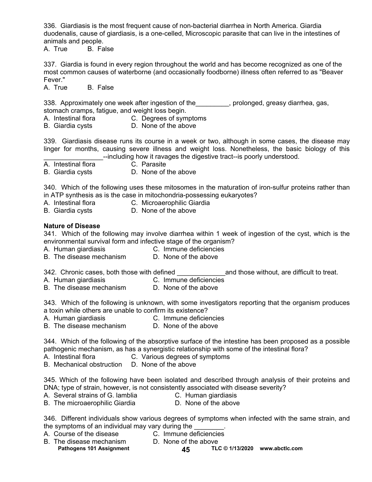336. Giardiasis is the most frequent cause of non-bacterial diarrhea in North America. Giardia duodenalis, cause of giardiasis, is a one-celled, Microscopic parasite that can live in the intestines of animals and people.

A. True B. False

337. Giardia is found in every region throughout the world and has become recognized as one of the most common causes of waterborne (and occasionally foodborne) illness often referred to as "Beaver Fever."

A. True B. False

338. Approximately one week after ingestion of the same prolonged, greasy diarrhea, gas, stomach cramps, fatigue, and weight loss begin.

- A. Intestinal flora C. Degrees of symptoms
- B. Giardia cysts D. None of the above

339. Giardiasis disease runs its course in a week or two, although in some cases, the disease may linger for months, causing severe illness and weight loss. Nonetheless, the basic biology of this **EXECUTE:** The end of the digestive tract--is poorly understood.

A. Intestinal flora **C. Parasite** 

- 
- B. Giardia cysts D. None of the above

340. Which of the following uses these mitosomes in the maturation of iron-sulfur proteins rather than in ATP synthesis as is the case in mitochondria-possessing eukaryotes?

- A. Intestinal flora<br>A. Intestinal flora<br>A. Intestinal flora
- 
- B. Giardia cysts D. None of the above

#### **Nature of Disease**

341. Which of the following may involve diarrhea within 1 week of ingestion of the cyst, which is the environmental survival form and infective stage of the organism?

- A. Human giardiasis **C. Immune deficiencies**
- B. The disease mechanism D. None of the above

342. Chronic cases, both those with defined and those without, are difficult to treat.

- A. Human giardiasis **C.** Immune deficiencies
	-
- B. The disease mechanism D. None of the above

343. Which of the following is unknown, with some investigators reporting that the organism produces a toxin while others are unable to confirm its existence?

A. Human giardiasis C. Immune deficiencies

B. The disease mechanism D. None of the above

344. Which of the following of the absorptive surface of the intestine has been proposed as a possible pathogenic mechanism, as has a synergistic relationship with some of the intestinal flora?

- A. Intestinal flora C. Various degrees of symptoms
- B. Mechanical obstruction D. None of the above

345. Which of the following have been isolated and described through analysis of their proteins and DNA; type of strain, however, is not consistently associated with disease severity?

- A. Several strains of G. lamblia C. Human giardiasis
	-
- B. The microaerophilic Giardia **D.** None of the above
- 

346. Different individuals show various degrees of symptoms when infected with the same strain, and the symptoms of an individual may vary during the  $\frac{1}{2}$ .<br>A. Course of the disease  $\frac{1}{2}$ . C. Immune deficiencies

- A. Course of the disease
- 
- B. The disease mechanism **D.** None of the above
	- Pathogens 101 Assignment **45 TLC © 1/13/2020** www.abctlc.com
		-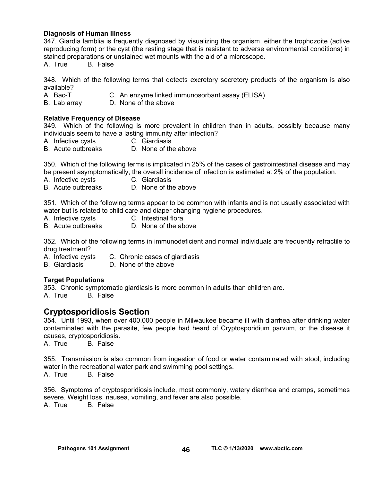#### **Diagnosis of Human Illness**

347. Giardia lamblia is frequently diagnosed by visualizing the organism, either the trophozoite (active reproducing form) or the cyst (the resting stage that is resistant to adverse environmental conditions) in stained preparations or unstained wet mounts with the aid of a microscope.

A. True B. False

348. Which of the following terms that detects excretory secretory products of the organism is also available?

- A. Bac-T C. An enzyme linked immunosorbant assay (ELISA)
- B. Lab array D. None of the above

#### **Relative Frequency of Disease**

349. Which of the following is more prevalent in children than in adults, possibly because many individuals seem to have a lasting immunity after infection?

- A. Infective cysts **C. Giardiasis**
- B. Acute outbreaks D. None of the above

350. Which of the following terms is implicated in 25% of the cases of gastrointestinal disease and may be present asymptomatically, the overall incidence of infection is estimated at 2% of the population.

- A. Infective cysts C. Giardiasis
- B. Acute outbreaks D. None of the above

351. Which of the following terms appear to be common with infants and is not usually associated with water but is related to child care and diaper changing hygiene procedures.

- A. Infective cysts C. Intestinal flora
- B. Acute outbreaks D. None of the above

352. Which of the following terms in immunodeficient and normal individuals are frequently refractile to drug treatment?

- A. Infective cysts C. Chronic cases of giardiasis
- B. Giardiasis D. None of the above

#### **Target Populations**

353. Chronic symptomatic giardiasis is more common in adults than children are.<br>A. True B. False

B. False

#### **Cryptosporidiosis Section**

354. Until 1993, when over 400,000 people in Milwaukee became ill with diarrhea after drinking water contaminated with the parasite, few people had heard of Cryptosporidium parvum, or the disease it causes, cryptosporidiosis.

A. True B. False

355. Transmission is also common from ingestion of food or water contaminated with stool, including water in the recreational water park and swimming pool settings.

A. True B. False

356. Symptoms of cryptosporidiosis include, most commonly, watery diarrhea and cramps, sometimes severe. Weight loss, nausea, vomiting, and fever are also possible.

A. True B. False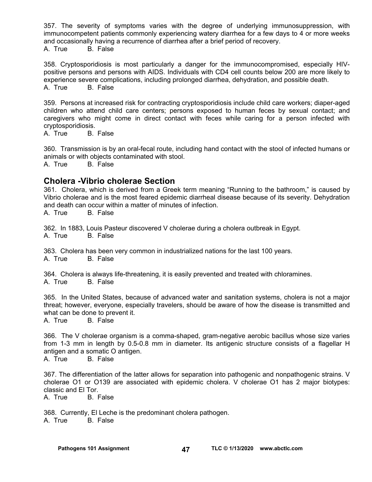357. The severity of symptoms varies with the degree of underlying immunosuppression, with immunocompetent patients commonly experiencing watery diarrhea for a few days to 4 or more weeks and occasionally having a recurrence of diarrhea after a brief period of recovery. A. True B. False

358. Cryptosporidiosis is most particularly a danger for the immunocompromised, especially HIVpositive persons and persons with AIDS. Individuals with CD4 cell counts below 200 are more likely to experience severe complications, including prolonged diarrhea, dehydration, and possible death. A. True B. False

359. Persons at increased risk for contracting cryptosporidiosis include child care workers; diaper-aged children who attend child care centers; persons exposed to human feces by sexual contact; and caregivers who might come in direct contact with feces while caring for a person infected with cryptosporidiosis.

A. True B. False

360. Transmission is by an oral-fecal route, including hand contact with the stool of infected humans or animals or with objects contaminated with stool.

A. True B. False

## **Cholera -Vibrio cholerae Section**

361. Cholera, which is derived from a Greek term meaning "Running to the bathroom," is caused by Vibrio cholerae and is the most feared epidemic diarrheal disease because of its severity. Dehydration and death can occur within a matter of minutes of infection.

A. True B. False

362. In 1883, Louis Pasteur discovered V cholerae during a cholera outbreak in Egypt. A. True B. False

363. Cholera has been very common in industrialized nations for the last 100 years. A. True B. False

364. Cholera is always life-threatening, it is easily prevented and treated with chloramines. A. True B. False

365. In the United States, because of advanced water and sanitation systems, cholera is not a major threat; however, everyone, especially travelers, should be aware of how the disease is transmitted and what can be done to prevent it.<br>A. True B. False

B. False

366. The V cholerae organism is a comma-shaped, gram-negative aerobic bacillus whose size varies from 1-3 mm in length by 0.5-0.8 mm in diameter. Its antigenic structure consists of a flagellar H antigen and a somatic O antigen. A. True B. False

367. The differentiation of the latter allows for separation into pathogenic and nonpathogenic strains. V cholerae O1 or O139 are associated with epidemic cholera. V cholerae O1 has 2 major biotypes: classic and El Tor.

A. True B. False

368. Currently, El Leche is the predominant cholera pathogen. A. True B. False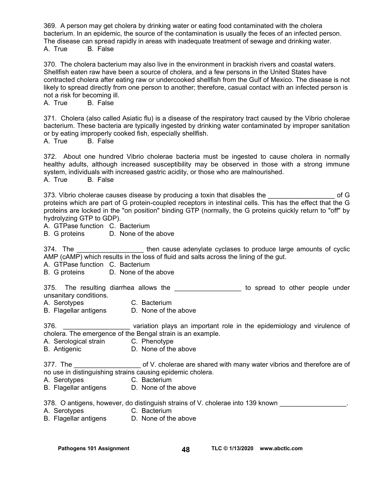369. A person may get cholera by drinking water or eating food contaminated with the cholera bacterium. In an epidemic, the source of the contamination is usually the feces of an infected person. The disease can spread rapidly in areas with inadequate treatment of sewage and drinking water. A. True B. False

370. The cholera bacterium may also live in the environment in brackish rivers and coastal waters. Shellfish eaten raw have been a source of cholera, and a few persons in the United States have contracted cholera after eating raw or undercooked shellfish from the Gulf of Mexico. The disease is not likely to spread directly from one person to another; therefore, casual contact with an infected person is not a risk for becoming ill.

A. True B. False

371. Cholera (also called Asiatic flu) is a disease of the respiratory tract caused by the Vibrio cholerae bacterium. These bacteria are typically ingested by drinking water contaminated by improper sanitation or by eating improperly cooked fish, especially shellfish.

A. True B. False

372. About one hundred Vibrio cholerae bacteria must be ingested to cause cholera in normally healthy adults, although increased susceptibility may be observed in those with a strong immune system, individuals with increased gastric acidity, or those who are malnourished. A. True B. False

373. Vibrio cholerae causes disease by producing a toxin that disables the example of G proteins which are part of G protein-coupled receptors in intestinal cells. This has the effect that the G proteins are locked in the "on position" binding GTP (normally, the G proteins quickly return to "off" by hydrolyzing GTP to GDP).

A. GTPase function C. Bacterium

B. G proteins D. None of the above

374. The **then cause adenylate cyclases to produce large amounts of cyclic** AMP (cAMP) which results in the loss of fluid and salts across the lining of the gut.

A. GTPase function C. Bacterium

B. G proteins D. None of the above

375. The resulting diarrhea allows the \_\_\_\_\_\_\_\_\_\_\_\_\_\_\_\_\_\_\_\_ to spread to other people under unsanitary conditions.

A. Serotypes C. Bacterium

B. Flagellar antigens D. None of the above

376. \_\_\_\_\_\_\_\_\_\_\_\_\_\_\_\_\_\_\_\_\_ variation plays an important role in the epidemiology and virulence of cholera. The emergence of the Bengal strain is an example.

- A. Serological strain C. Phenotype
- B. Antigenic **D. None of the above**

377. The \_\_\_\_\_\_\_\_\_\_\_\_\_\_\_\_\_\_\_\_\_ of V. cholerae are shared with many water vibrios and therefore are of no use in distinguishing strains causing epidemic cholera.

- A. Serotypes C. Bacterium
- B. Flagellar antigens D. None of the above

378. O antigens, however, do distinguish strains of V. cholerae into 139 known

- A. Serotypes C. Bacterium
- B. Flagellar antigens D. None of the above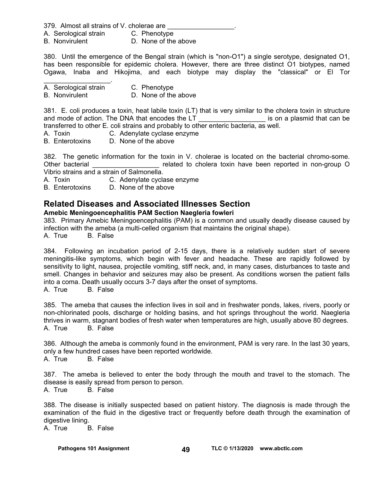379. Almost all strains of V. cholerae are

- A. Serological strain C. Phenotype
- B. Nonvirulent D. None of the above

380. Until the emergence of the Bengal strain (which is "non-O1") a single serotype, designated O1, has been responsible for epidemic cholera. However, there are three distinct O1 biotypes, named Ogawa, Inaba and Hikojima, and each biotype may display the "classical" or El Tor

 $\mathcal{L}_\text{max}$  and  $\mathcal{L}_\text{max}$  and  $\mathcal{L}_\text{max}$ A. Serological strain C. Phenotype

B. Nonvirulent D. None of the above

381. E. coli produces a toxin, heat labile toxin (LT) that is very similar to the cholera toxin in structure and mode of action. The DNA that encodes the LT entity is on a plasmid that can be transferred to other E. coli strains and probably to other enteric bacteria, as well.

A. Toxin C. Adenylate cyclase enzyme

B. Enterotoxins D. None of the above

382. The genetic information for the toxin in V. cholerae is located on the bacterial chromo-some. Other bacterial **Deta in the contract of the choice** related to cholera toxin have been reported in non-group O Vibrio strains and a strain of Salmonella.

A. Toxin C. Adenylate cyclase enzyme

B. Enterotoxins D. None of the above

# **Related Diseases and Associated Illnesses Section**

#### **Amebic Meningoencephalitis PAM Section Naegleria fowleri**

383. Primary Amebic Meningoencephalitis (PAM) is a common and usually deadly disease caused by infection with the ameba (a multi-celled organism that maintains the original shape).

A. True B. False

384. Following an incubation period of 2-15 days, there is a relatively sudden start of severe meningitis-like symptoms, which begin with fever and headache. These are rapidly followed by sensitivity to light, nausea, projectile vomiting, stiff neck, and, in many cases, disturbances to taste and smell. Changes in behavior and seizures may also be present. As conditions worsen the patient falls into a coma. Death usually occurs 3-7 days after the onset of symptoms. A. True B. False

385. The ameba that causes the infection lives in soil and in freshwater ponds, lakes, rivers, poorly or non-chlorinated pools, discharge or holding basins, and hot springs throughout the world. Naegleria thrives in warm, stagnant bodies of fresh water when temperatures are high, usually above 80 degrees. A. True B. False

386. Although the ameba is commonly found in the environment, PAM is very rare. In the last 30 years, only a few hundred cases have been reported worldwide. A. True B. False

387. The ameba is believed to enter the body through the mouth and travel to the stomach. The disease is easily spread from person to person. A. True B. False

388. The disease is initially suspected based on patient history. The diagnosis is made through the examination of the fluid in the digestive tract or frequently before death through the examination of digestive lining.

A. True B. False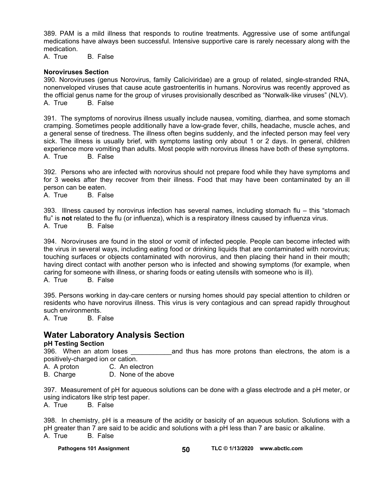389. PAM is a mild illness that responds to routine treatments. Aggressive use of some antifungal medications have always been successful. Intensive supportive care is rarely necessary along with the medication.

A. True B. False

#### **Noroviruses Section**

390. Noroviruses (genus Norovirus, family Caliciviridae) are a group of related, single-stranded RNA, nonenveloped viruses that cause acute gastroenteritis in humans. Norovirus was recently approved as the official genus name for the group of viruses provisionally described as "Norwalk-like viruses" (NLV). A. True B. False

391. The symptoms of norovirus illness usually include nausea, vomiting, diarrhea, and some stomach cramping. Sometimes people additionally have a low-grade fever, chills, headache, muscle aches, and a general sense of tiredness. The illness often begins suddenly, and the infected person may feel very sick. The illness is usually brief, with symptoms lasting only about 1 or 2 days. In general, children experience more vomiting than adults. Most people with norovirus illness have both of these symptoms. A. True B. False

392. Persons who are infected with norovirus should not prepare food while they have symptoms and for 3 weeks after they recover from their illness. Food that may have been contaminated by an ill person can be eaten.

A. True B. False

393. Illness caused by norovirus infection has several names, including stomach flu – this "stomach flu" is **not** related to the flu (or influenza), which is a respiratory illness caused by influenza virus. A. True B. False

394. Noroviruses are found in the stool or vomit of infected people. People can become infected with the virus in several ways, including eating food or drinking liquids that are contaminated with norovirus; touching surfaces or objects contaminated with norovirus, and then placing their hand in their mouth; having direct contact with another person who is infected and showing symptoms (for example, when caring for someone with illness, or sharing foods or eating utensils with someone who is ill). A. True B. False

395. Persons working in day-care centers or nursing homes should pay special attention to children or residents who have norovirus illness. This virus is very contagious and can spread rapidly throughout such environments.

A. True B. False

# **Water Laboratory Analysis Section**

#### **pH Testing Section**

396. When an atom loses \_\_\_\_\_\_\_\_\_\_\_and thus has more protons than electrons, the atom is a positively-charged ion or cation.

A. A proton C. An electron

B. Charge D. None of the above

397. Measurement of pH for aqueous solutions can be done with a glass electrode and a pH meter, or using indicators like strip test paper.

A. True B. False

398. In chemistry, pH is a measure of the acidity or basicity of an aqueous solution. Solutions with a pH greater than 7 are said to be acidic and solutions with a pH less than 7 are basic or alkaline. A. True B. False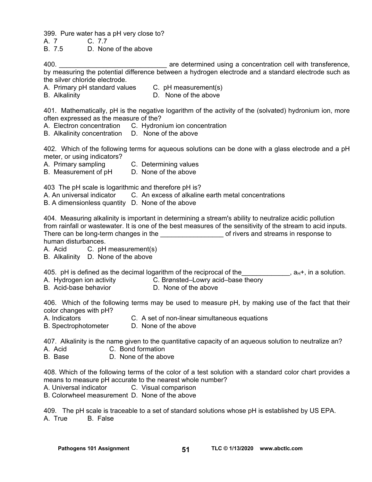399. Pure water has a pH very close to?

A. 7 C. 7.7

B. 7.5 D. None of the above

400. **Example 2018** are determined using a concentration cell with transference, by measuring the potential difference between a hydrogen electrode and a standard electrode such as the silver chloride electrode.

A. Primary pH standard values C. pH measurement(s)

B. Alkalinity D. None of the above

401. Mathematically, pH is the negative logarithm of the activity of the (solvated) hydronium ion, more often expressed as the measure of the?

- A. Electron concentration C. Hydronium ion concentration
- B. Alkalinity concentration D. None of the above

402. Which of the following terms for aqueous solutions can be done with a glass electrode and a pH meter, or using indicators?

A. Primary sampling C. Determining values

B. Measurement of pH D. None of the above

403 The pH scale is logarithmic and therefore pH is?

A. An universal indicator C. An excess of alkaline earth metal concentrations

B. A dimensionless quantity D. None of the above

404. Measuring alkalinity is important in determining a stream's ability to neutralize acidic pollution from rainfall or wastewater. It is one of the best measures of the sensitivity of the stream to acid inputs. There can be long-term changes in the the state of rivers and streams in response to human disturbances.

A. Acid C. pH measurement(s)

B. Alkalinity D. None of the above

405. pH is defined as the decimal logarithm of the reciprocal of the  $\Box$  , a<sub>H</sub>+, in a solution.

A. Hydrogen ion activity **C. Brønsted–Lowry acid–base theory** 

B. Acid-base behavior **D. None of the above** 

406. Which of the following terms may be used to measure pH, by making use of the fact that their color changes with pH?

A. Indicators C. A set of non-linear simultaneous equations

B. SpectrophotometerD. None of the above

407. Alkalinity is the name given to the quantitative capacity of an aqueous solution to neutralize an?

A. Acid C. Bond formation

B. Base D. None of the above

408. Which of the following terms of the color of a test solution with a standard color chart provides a means to measure pH accurate to the nearest whole number?

A. Universal indicator C. Visual comparison

B. Colorwheel measurement D. None of the above

409. The pH scale is traceable to a set of standard solutions whose pH is established by US EPA. A. True B. False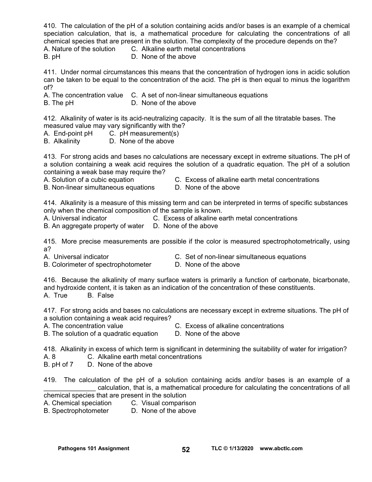410. The calculation of the pH of a solution containing acids and/or bases is an example of a chemical speciation calculation, that is, a mathematical procedure for calculating the concentrations of all chemical species that are present in the solution. The complexity of the procedure depends on the?

A. Nature of the solution C. Alkaline earth metal concentrations

B. pHD. None of the above

411. Under normal circumstances this means that the concentration of hydrogen ions in acidic solution can be taken to be equal to the concentration of the acid. The pH is then equal to minus the logarithm of?

A. The concentration value C. A set of non-linear simultaneous equations

B. The pH **D. None of the above** 

412. Alkalinity of water is its acid-neutralizing capacity. It is the sum of all the titratable bases. The measured value may vary significantly with the?

- A. End-point pH C. pH measurement(s)
- B. Alkalinity D. None of the above

413. For strong acids and bases no calculations are necessary except in extreme situations. The pH of a solution containing a weak acid requires the solution of a quadratic equation. The pH of a solution containing a weak base may require the?

- 
- A. Solution of a cubic equation C. Excess of alkaline earth metal concentrations
- B. Non-linear simultaneous equations D. None of the above
- 

414. Alkalinity is a measure of this missing term and can be interpreted in terms of specific substances only when the chemical composition of the sample is known.

A. Universal indicator C. Excess of alkaline earth metal concentrations

B. An aggregate property of water D. None of the above

415. More precise measurements are possible if the color is measured spectrophotometrically, using a?

- 
- A. Universal indicator **C.** Set of non-linear simultaneous equations
- B. Colorimeter of spectrophotometerD. None of the above
- 

416. Because the alkalinity of many surface waters is primarily a function of carbonate, bicarbonate, and hydroxide content, it is taken as an indication of the concentration of these constituents. A. True B. False

417. For strong acids and bases no calculations are necessary except in extreme situations. The pH of a solution containing a weak acid requires?

- 
- A. The concentration value C. Excess of alkaline concentrations

B. The solution of a quadratic equation D. None of the above

418. Alkalinity in excess of which term is significant in determining the suitability of water for irrigation?

- A. 8 C. Alkaline earth metal concentrations
- B. pH of 7 D. None of the above

419. The calculation of the pH of a solution containing acids and/or bases is an example of a \_\_\_\_\_\_\_\_\_\_\_\_\_\_ calculation, that is, a mathematical procedure for calculating the concentrations of all chemical species that are present in the solution

- A. Chemical speciation C. Visual comparison
- B. Spectrophotometer D. None of the above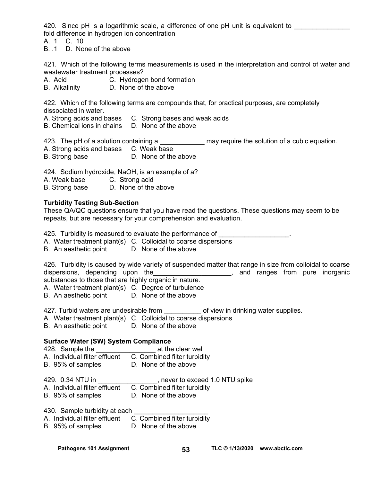420. Since pH is a logarithmic scale, a difference of one pH unit is equivalent to fold difference in hydrogen ion concentration

A. 1 C. 10

B. .1 D. None of the above

421. Which of the following terms measurements is used in the interpretation and control of water and wastewater treatment processes?

- A. Acid C. Hydrogen bond formation
- B. Alkalinity D. None of the above

422. Which of the following terms are compounds that, for practical purposes, are completely dissociated in water.

- A. Strong acids and bases C. Strong bases and weak acids
- B. Chemical ions in chains D. None of the above

423. The pH of a solution containing a \_\_\_\_\_\_\_\_\_\_\_\_\_\_ may require the solution of a cubic equation.

- A. Strong acids and bases C. Weak base
- B. Strong base D. None of the above

424. Sodium hydroxide, NaOH, is an example of a?

- A. Weak base C. Strong acid
- B. Strong base D. None of the above

#### **Turbidity Testing Sub-Section**

These QA/QC questions ensure that you have read the questions. These questions may seem to be repeats, but are necessary for your comprehension and evaluation.

425. Turbidity is measured to evaluate the performance of **EXECUTE 10** 2014.

- A. Water treatment plant(s) C. Colloidal to coarse dispersions
- B. An aesthetic point D. None of the above

426. Turbidity is caused by wide variety of suspended matter that range in size from colloidal to coarse dispersions, depending upon the **contained and ranges** from pure inorganic substances to those that are highly organic in nature.

A. Water treatment plant(s) C. Degree of turbulence

B. An aesthetic point D. None of the above

427. Turbid waters are undesirable from \_\_\_\_\_\_\_\_\_\_ of view in drinking water supplies.

- A. Water treatment plant(s) C. Colloidal to coarse dispersions
- B. An aesthetic point D. None of the above

## **Surface Water (SW) System Compliance**

428. Sample the **Example in the set of the clear well** 

- A. Individual filter effluent C. Combined filter turbidity
- B. 95% of samples D. None of the above

429. 0.34 NTU in \_\_\_\_\_\_\_\_\_\_\_\_\_\_\_\_, never to exceed 1.0 NTU spike

- A. Individual filter effluent C. Combined filter turbidity
- B. 95% of samples D. None of the above
- 430. Sample turbidity at each
- A. Individual filter effluent C. Combined filter turbidity
- B. 95% of samples D. None of the above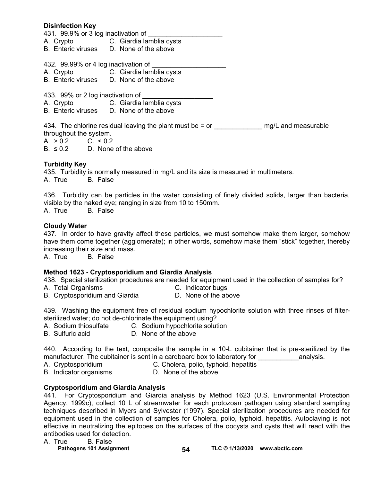#### **Disinfection Key**

431. 99.9% or 3 log inactivation of

- A. Crypto C. Giardia lamblia cysts
- B. Enteric viruses D. None of the above

432. 99.99% or 4 log inactivation of

- A. Crypto C. Giardia lamblia cysts
- B. Enteric viruses D. None of the above
- 433. 99% or 2 log inactivation of
- A. Crypto C. Giardia lamblia cysts
- B. Enteric viruses D. None of the above

434. The chlorine residual leaving the plant must be  $=$  or  $\qquad \qquad$  mg/L and measurable throughout the system.

A.  $> 0.2$  C.  $< 0.2$ 

 $B. \leq 0.2$  D. None of the above

#### **Turbidity Key**

435. Turbidity is normally measured in mg/L and its size is measured in multimeters. A. True B. False

436. Turbidity can be particles in the water consisting of finely divided solids, larger than bacteria, visible by the naked eye; ranging in size from 10 to 150mm. A. True B. False

#### **Cloudy Water**

437. In order to have gravity affect these particles, we must somehow make them larger, somehow have them come together (agglomerate); in other words, somehow make them "stick" together, thereby increasing their size and mass.

A. True B. False

#### **Method 1623 - Cryptosporidium and Giardia Analysis**

438. Special sterilization procedures are needed for equipment used in the collection of samples for?

A. Total Organisms **C. Indicator bugs** 

- 
- B. Cryptosporidium and Giardia **D.** None of the above

439. Washing the equipment free of residual sodium hypochlorite solution with three rinses of filtersterilized water; do not de-chlorinate the equipment using?

- A. Sodium thiosulfate C. Sodium hypochlorite solution
- B. Sulfuric acid D. None of the above

440. According to the text, composite the sample in a 10-L cubitainer that is pre-sterilized by the manufacturer. The cubitainer is sent in a cardboard box to laboratory for analysis.

- A. Cryptosporidium C. Cholera, polio, typhoid, hepatitis
- B. Indicator organisms **D. None of the above**

#### **Cryptosporidium and Giardia Analysis**

441. For Cryptosporidium and Giardia analysis by Method 1623 (U.S. Environmental Protection Agency, 1999c), collect 10 L of streamwater for each protozoan pathogen using standard sampling techniques described in Myers and Sylvester (1997). Special sterilization procedures are needed for equipment used in the collection of samples for Cholera, polio, typhoid, hepatitis. Autoclaving is not effective in neutralizing the epitopes on the surfaces of the oocysts and cysts that will react with the antibodies used for detection.

A. True B. False

Pathogens 101 Assignment **54 TLC © 1/13/2020** www.abctlc.com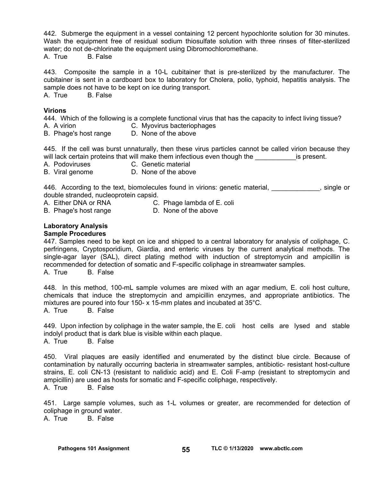442. Submerge the equipment in a vessel containing 12 percent hypochlorite solution for 30 minutes. Wash the equipment free of residual sodium thiosulfate solution with three rinses of filter-sterilized water; do not de-chlorinate the equipment using Dibromochloromethane.

A. True B. False

443. Composite the sample in a 10-L cubitainer that is pre-sterilized by the manufacturer. The cubitainer is sent in a cardboard box to laboratory for Cholera, polio, typhoid, hepatitis analysis. The sample does not have to be kept on ice during transport.

A. True B. False

#### **Virions**

444. Which of the following is a complete functional virus that has the capacity to infect living tissue?

- A. A virion C. Myovirus bacteriophages
- B. Phage's host range D. None of the above

445. If the cell was burst unnaturally, then these virus particles cannot be called virion because they will lack certain proteins that will make them infectious even though the  $\qquad \qquad$  is present.

- A. Podoviruses C. Genetic material
- B. Viral genome D. None of the above

446. According to the text, biomolecules found in virions: genetic material, entity arrive in single or double stranded, nucleoprotein capsid.

- A. Either DNA or RNA C. Phage lambda of E. coli
- A. Litner Diver of Nive Conserved Conserved B. Phage's host range D. None of the above

#### **Laboratory Analysis Sample Procedures**

447. Samples need to be kept on ice and shipped to a central laboratory for analysis of coliphage, C. perfringens, Cryptosporidium, Giardia, and enteric viruses by the current analytical methods. The single-agar layer (SAL), direct plating method with induction of streptomycin and ampicillin is recommended for detection of somatic and F-specific coliphage in streamwater samples. A. True B. False

448. In this method, 100-mL sample volumes are mixed with an agar medium, E. coli host culture, chemicals that induce the streptomycin and ampicillin enzymes, and appropriate antibiotics. The mixtures are poured into four 150- x 15-mm plates and incubated at 35°C. A. True B. False

449. Upon infection by coliphage in the water sample, the E. coli host cells are lysed and stable indolyl product that is dark blue is visible within each plaque. A. True B. False

450. Viral plaques are easily identified and enumerated by the distinct blue circle. Because of contamination by naturally occurring bacteria in streamwater samples, antibiotic- resistant host-culture strains, E. coli CN-13 (resistant to nalidixic acid) and E. Coli F-amp (resistant to streptomycin and ampicillin) are used as hosts for somatic and F-specific coliphage, respectively. A. True B. False

451. Large sample volumes, such as 1-L volumes or greater, are recommended for detection of coliphage in ground water. A. True B. False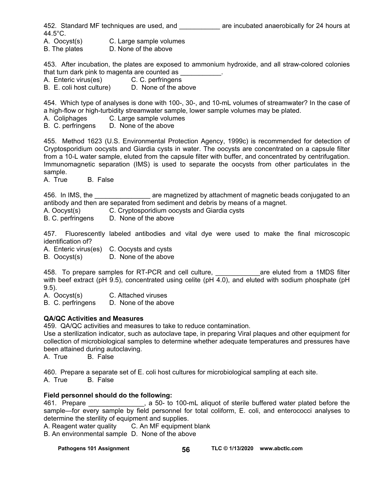452. Standard MF techniques are used, and \_\_\_\_\_\_\_\_\_\_\_\_\_ are incubated anaerobically for 24 hours at 44.5°C.

A. Oocyst(s) C. Large sample volumes

B. The plates **D. None of the above** 

453. After incubation, the plates are exposed to ammonium hydroxide, and all straw-colored colonies that turn dark pink to magenta are counted as  $\qquad \qquad$ .

A. Enteric virus(es) C. C. perfringens

B. E. coli host culture) D. None of the above

454. Which type of analyses is done with 100-, 30-, and 10-mL volumes of streamwater? In the case of a high-flow or high-turbidity streamwater sample, lower sample volumes may be plated.

A. Coliphages C. Large sample volumes

B. C. perfringens D. None of the above

455. Method 1623 (U.S. Environmental Protection Agency, 1999c) is recommended for detection of Cryptosporidium oocysts and Giardia cysts in water. The oocysts are concentrated on a capsule filter from a 10-L water sample, eluted from the capsule filter with buffer, and concentrated by centrifugation. Immunomagnetic separation (IMS) is used to separate the oocysts from other particulates in the sample.

A. True B. False

456. In IMS, the <u>second conservation are magnetized by attachment of magnetic beads conjugated to an</u> antibody and then are separated from sediment and debris by means of a magnet.

A. Oocyst(s) C. Cryptosporidium oocysts and Giardia cysts

B. C. perfringens D. None of the above

457. Fluorescently labeled antibodies and vital dye were used to make the final microscopic identification of?

A. Enteric virus(es) C. Oocysts and cysts

B. Oocyst(s) D. None of the above

458. To prepare samples for RT-PCR and cell culture, and the same eluted from a 1MDS filter with beef extract (pH 9.5), concentrated using celite (pH  $\overline{4.0}$ ), and eluted with sodium phosphate (pH 9.5).

A. Oocyst(s) C. Attached viruses

B. C. perfringens D. None of the above

#### **QA/QC Activities and Measures**

459. QA/QC activities and measures to take to reduce contamination.

Use a sterilization indicator, such as autoclave tape, in preparing Viral plaques and other equipment for collection of microbiological samples to determine whether adequate temperatures and pressures have been attained during autoclaving.

A. True B. False

460. Prepare a separate set of E. coli host cultures for microbiological sampling at each site. A. True B. False

#### **Field personnel should do the following:**

461. Prepare \_\_\_\_\_\_\_\_\_\_\_\_\_, a 50- to 100-mL aliquot of sterile buffered water plated before the sample—for every sample by field personnel for total coliform, E. coli, and enterococci analyses to determine the sterility of equipment and supplies.

A. Reagent water quality C. An MF equipment blank

B. An environmental sample D. None of the above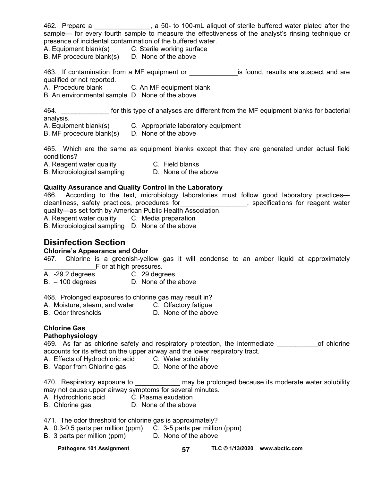462. Prepare a \_\_\_\_\_\_\_\_\_\_\_\_\_\_\_, a 50- to 100-mL aliquot of sterile buffered water plated after the sample— for every fourth sample to measure the effectiveness of the analyst's rinsing technique or presence of incidental contamination of the buffered water.

A. Equipment blank(s) C. Sterile working surface

B. MF procedure blank(s) D. None of the above

463. If contamination from a MF equipment or \_\_\_\_\_\_\_\_\_\_\_\_\_\_\_is found, results are suspect and are qualified or not reported.

A. Procedure blank C. An MF equipment blank

B. An environmental sample D. None of the above

464. \_\_\_\_\_\_\_\_\_\_\_\_\_ for this type of analyses are different from the MF equipment blanks for bacterial analysis.

- A. Equipment blank(s) C. Appropriate laboratory equipment
- B. MF procedure blank(s) D. None of the above

465. Which are the same as equipment blanks except that they are generated under actual field conditions?

A. Reagent water quality **C. Field blanks** B. Microbiological sampling D. None of the above

#### **Quality Assurance and Quality Control in the Laboratory**

466. According to the text, microbiology laboratories must follow good laboratory practices cleanliness, safety practices, procedures for\_\_\_\_\_\_\_\_\_\_\_\_\_\_\_\_\_\_, specifications for reagent water quality—as set forth by American Public Health Association. A. Reagent water quality C. Media preparation

B. Microbiological sampling D. None of the above

# **Disinfection Section**

#### **Chlorine's Appearance and Odor**

467. Chlorine is a greenish-yellow gas it will condense to an amber liquid at approximately **Example 15 F** or at high pressures.

- A. -29.2 degrees C. 29 degrees
- B. 100 degrees D. None of the above

468. Prolonged exposures to chlorine gas may result in?

- A. Moisture, steam, and water C. Olfactory fatigue<br>B. Odor thresholds D. None of the above
- D. None of the above

# **Chlorine Gas**

# **Pathophysiology**

469. As far as chlorine safety and respiratory protection, the intermediate entity of chlorine accounts for its effect on the upper airway and the lower respiratory tract.

A. Effects of Hydrochloric acid C. Water solubility

B. Vapor from Chlorine gas **D. None of the above** 

470. Respiratory exposure to \_\_\_\_\_\_\_\_\_\_\_\_ may be prolonged because its moderate water solubility may not cause upper airway symptoms for several minutes.

- A. Hydrochloric acid C. Plasma exudation
- B. Chlorine gas **D. None of the above**

471. The odor threshold for chlorine gas is approximately?

- A. 0.3-0.5 parts per million (ppm) C. 3-5 parts per million (ppm)
- B. 3 parts per million (ppm) D. None of the above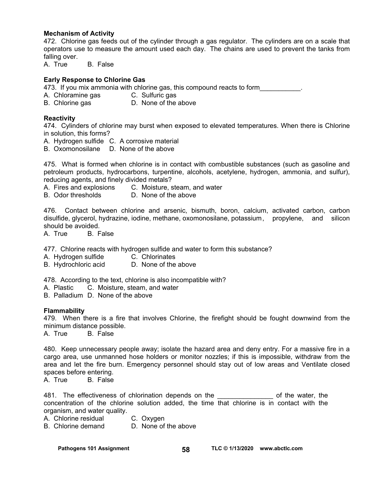#### **Mechanism of Activity**

472. Chlorine gas feeds out of the cylinder through a gas regulator. The cylinders are on a scale that operators use to measure the amount used each day. The chains are used to prevent the tanks from falling over.

A. True B. False

#### **Early Response to Chlorine Gas**

473. If you mix ammonia with chlorine gas, this compound reacts to form\_\_\_\_\_\_\_\_\_\_.

- A. Chloramine gas C. Sulfuric gas
- B. Chlorine gas **D.** None of the above

#### **Reactivity**

474. Cylinders of chlorine may burst when exposed to elevated temperatures. When there is Chlorine in solution, this forms?

- A. Hydrogen sulfide C. A corrosive material
- B. Oxomonosilane D. None of the above

475. What is formed when chlorine is in contact with combustible substances (such as gasoline and petroleum products, hydrocarbons, turpentine, alcohols, acetylene, hydrogen, ammonia, and sulfur), reducing agents, and finely divided metals?

A. Fires and explosions C. Moisture, steam, and water

B. Odor thresholds D. None of the above

476. Contact between chlorine and arsenic, bismuth, boron, calcium, activated carbon, carbon disulfide, glycerol, hydrazine, iodine, methane, oxomonosilane, potassium , propylene, and silicon should be avoided.

A. True B. False

477. Chlorine reacts with hydrogen sulfide and water to form this substance?

A. Hydrogen sulfide C. Chlorinates

B. Hydrochloric acid D. None of the above

478. According to the text, chlorine is also incompatible with?

- A. Plastic C. Moisture, steam, and water
- B. Palladium D. None of the above

#### **Flammability**

479. When there is a fire that involves Chlorine, the firefight should be fought downwind from the minimum distance possible.

A. True B. False

480. Keep unnecessary people away; isolate the hazard area and deny entry. For a massive fire in a cargo area, use unmanned hose holders or monitor nozzles; if this is impossible, withdraw from the area and let the fire burn. Emergency personnel should stay out of low areas and Ventilate closed spaces before entering.

A. True B. False

481. The effectiveness of chlorination depends on the \_\_\_\_\_\_\_\_\_\_\_\_\_\_\_\_\_\_\_\_ of the water, the concentration of the chlorine solution added, the time that chlorine is in contact with the organism, and water quality.

A. Chlorine residual C. Oxygen

B. Chlorine demand D. None of the above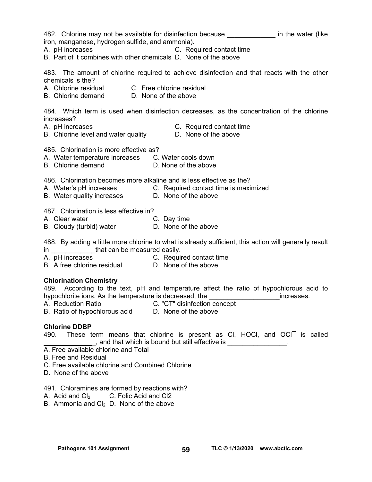482. Chlorine may not be available for disinfection because **the in the water (like** iron, manganese, hydrogen sulfide, and ammonia). A. pH increases **C. Required contact time** B. Part of it combines with other chemicals D. None of the above 483. The amount of chlorine required to achieve disinfection and that reacts with the other chemicals is the? A. Chlorine residual C. Free chlorine residual B. Chlorine demand D. None of the above 484. Which term is used when disinfection decreases, as the concentration of the chlorine increases? A. pH increases C. Required contact time<br>B. Chlorine level and water quality B. None of the above B. Chlorine level and water quality 485. Chlorination is more effective as? A. Water temperature increases C. Water cools down B. Chlorine demand D. None of the above 486. Chlorination becomes more alkaline and is less effective as the? A. Water's pH increases C. Required contact time is maximized B. Water quality increases **D. None of the above** 487. Chlorination is less effective in? A. Clear water **C. Day time** B. Cloudy (turbid) water **D.** None of the above 488. By adding a little more chlorine to what is already sufficient, this action will generally result in **that can be measured easily.** A. pH increases **C. Required contact time** B. A free chlorine residual D. None of the above **Chlorination Chemistry**  489. According to the text, pH and temperature affect the ratio of hypochlorous acid to hypochlorite ions. As the temperature is decreased, the **example 20 and 20** increases. A. Reduction Ratio **C.** "CT" disinfection concept B. Ratio of hypochlorous acid D. None of the above

#### **Chlorine DDBP**

490. These term means that chlorine is present as CI, HOCI, and OCI is called  $\Box$ , and that which is bound but still effective is  $\Box$ 

- A. Free available chlorine and Total
- B. Free and Residual
- C. Free available chlorine and Combined Chlorine
- D. None of the above

491. Chloramines are formed by reactions with?

- A. Acid and  $Cl<sub>2</sub>$  C. Folic Acid and Cl2
- B. Ammonia and  $Cl<sub>2</sub>$  D. None of the above